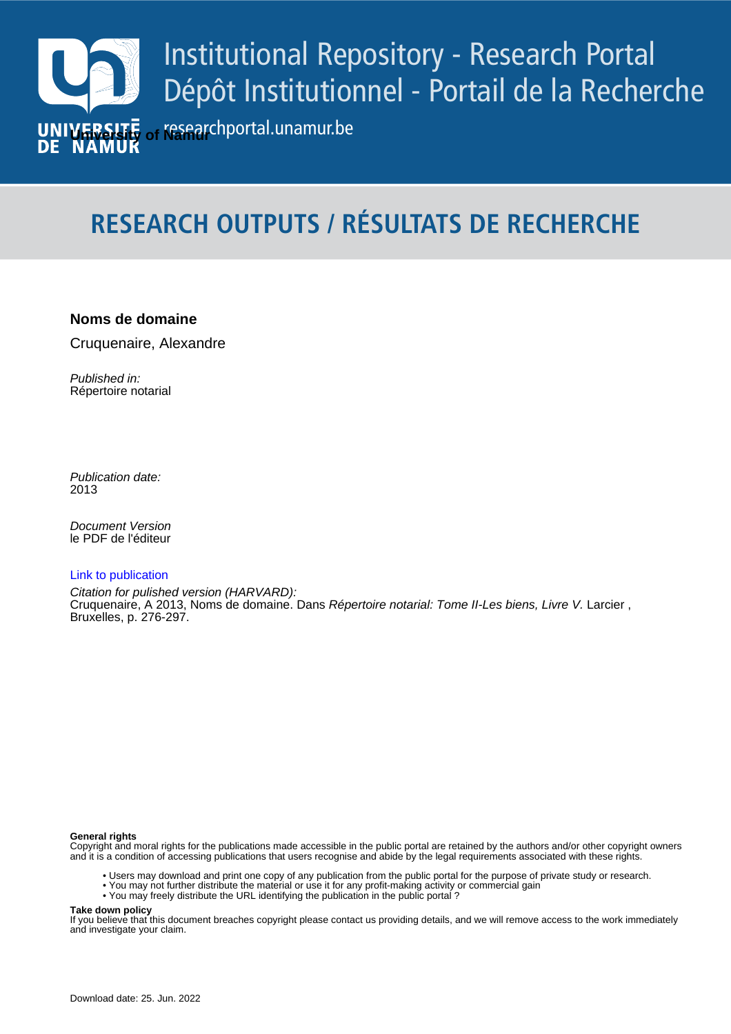

# **RESEARCH OUTPUTS / RÉSULTATS DE RECHERCHE**

# **Noms de domaine**

Cruquenaire, Alexandre

Published in: Répertoire notarial

Publication date: 2013

*Pocument version*<br>le PDF de l'éditeur Document Version

## [Link to publication](https://researchportal.unamur.be/fr/publications/417ed19a-2cf5-49b0-bbbd-36ca4ed7cb4f)

**Permanent link - Permalien :** Bruxelles, p. 276-297. Citation for pulished version (HARVARD): Cruquenaire, A 2013, Noms de domaine. Dans Répertoire notarial: Tome II-Les biens, Livre V. Larcier ,

#### **General rights**

Copyright and moral rights for the publications made accessible in the public portal are retained by the authors and/or other copyright owners and it is a condition of accessing publications that users recognise and abide by the legal requirements associated with these rights.

- Users may download and print one copy of any publication from the public portal for the purpose of private study or research.
- You may not further distribute the material or use it for any profit-making activity or commercial gain
- You may freely distribute the URL identifying the publication in the public portal ?

#### **Take down policy**

If you believe that this document breaches copyright please contact us providing details, and we will remove access to the work immediately and investigate your claim.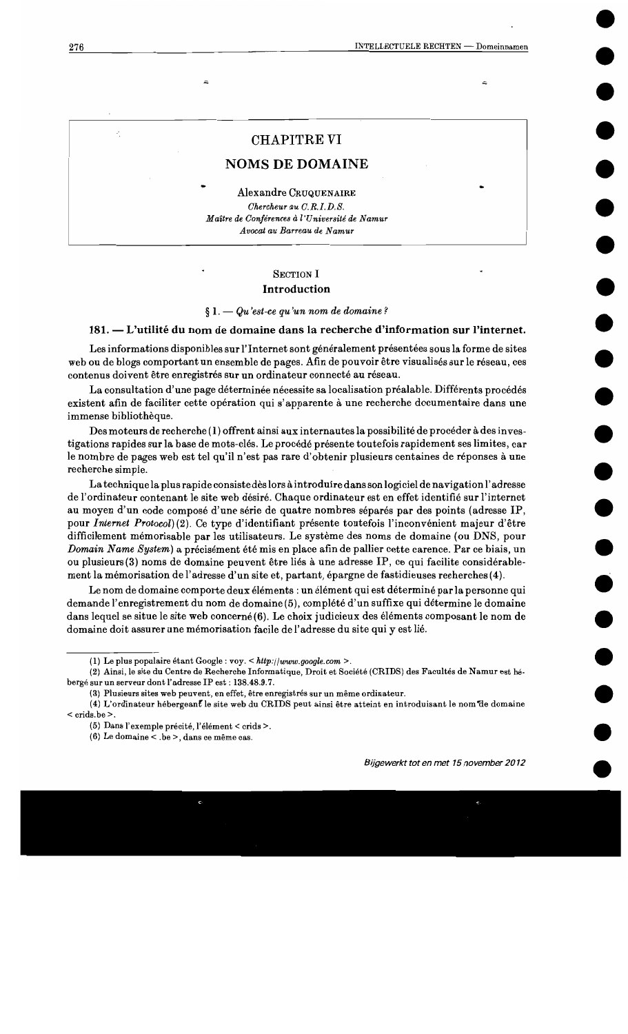#### 4

# **CHAPITRE VI**

# **NOMS DE DOMAINE**

Alexandre CRUQUENAIRE Chercheur au C.R.I.D.S. Maître de Conférences à l'Université de Namur Avocat au Barreau de Namur

#### **SECTION I**

#### **Introduction**

 $\S 1.$  - Qu'est-ce qu'un nom de domaine?

#### 181. — L'utilité du nom de domaine dans la recherche d'information sur l'internet.

Les informations disponibles sur l'Internet sont généralement présentées sous la forme de sites web ou de blogs comportant un ensemble de pages. Afin de pouvoir être visualisés sur le réseau, ces contenus doivent être enregistrés sur un ordinateur connecté au réseau.

La consultation d'une page déterminée nécessite sa localisation préalable. Différents procédés existent afin de faciliter cette opération qui s'apparente à une recherche documentaire dans une immense bibliothèque.

Des moteurs de recherche (1) offrent ainsi aux internautes la possibilité de procéder à des investigations rapides sur la base de mots-clés. Le procédé présente toutefois rapidement ses limites, car le nombre de pages web est tel qu'il n'est pas rare d'obtenir plusieurs centaines de réponses à une recherche simple.

La technique la plus rapide consiste dès lors à introduire dans son logiciel de navigation l'adresse de l'ordinateur contenant le site web désiré. Chaque ordinateur est en effet identifié sur l'internet au moyen d'un code composé d'une série de quatre nombres séparés par des points (adresse IP, pour Internet Protocol) (2). Ce type d'identifiant présente toutefois l'inconvénient majeur d'être difficilement mémorisable par les utilisateurs. Le système des noms de domaine (ou DNS, pour Domain Name System) a précisément été mis en place afin de pallier cette carence. Par ce biais, un ou plusieurs (3) noms de domaine peuvent être liés à une adresse IP, ce qui facilite considérablement la mémorisation de l'adresse d'un site et, partant, épargne de fastidieuses recherches (4).

Le nom de domaine comporte deux éléments : un élément qui est déterminé par la personne qui demande l'enregistrement du nom de domaine (5), complété d'un suffixe qui détermine le domaine dans lequel se situe le site web concerné (6). Le choix judicieux des éléments composant le nom de domaine doit assurer une mémorisation facile de l'adresse du site qui y est lié.

<sup>(1)</sup> Le plus populaire étant Google : voy. < http://www.google.com >.

<sup>(2)</sup> Ainsi, le site du Centre de Recherche Informatique, Droit et Société (CRIDS) des Facultés de Namur est hébergé sur un serveur dont l'adresse IP est : 138.48.9.7.

<sup>(3)</sup> Plusieurs sites web peuvent, en effet, être enregistrés sur un même ordinateur.

<sup>(4)</sup> L'ordinateur hébergeant le site web du CRIDS peut ainsi être atteint en introduisant le nom de domaine  $<$  crids.be $>$ .

<sup>(5)</sup> Dans l'exemple précité, l'élément < crids >.

<sup>(6)</sup> Le domaine < .be >, dans ce même cas.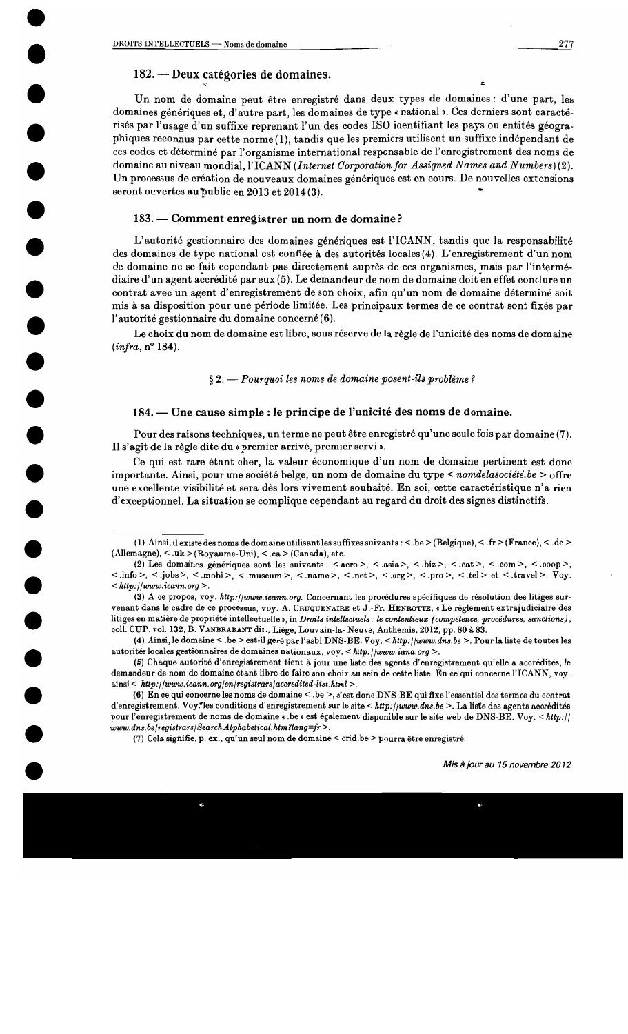# 182. — Deux catégories de domaines.

Un nom de domaine peut être enregistré dans deux types de domaines : d'une part. les domaines génériques et, d'autre part, les domaines de type « national ». Ces derniers sont caractérisés par l'usage d'un suffixe reprenant l'un des codes ISO identifiant les pays ou entités géographiques reconnus par cette norme (1), tandis que les premiers utilisent un suffixe indépendant de ces codes et déterminé par l'organisme international responsable de l'enregistrement des noms de domaine au niveau mondial, l'ICANN (Internet Corporation for Assigned Names and Numbers)(2). Un processus de création de nouveaux domaines génériques est en cours. De nouvelles extensions seront ouvertes au public en 2013 et 2014(3).

#### 183. — Comment enregistrer un nom de domaine?

L'autorité gestionnaire des domaines génériques est l'ICANN, tandis que la responsabilité des domaines de type national est confiée à des autorités locales (4). L'enregistrement d'un nom de domaine ne se fait cependant pas directement auprès de ces organismes, mais par l'intermédiaire d'un agent accrédité par eux (5). Le demandeur de nom de domaine doit en effet conclure un contrat avec un agent d'enregistrement de son choix, afin qu'un nom de domaine déterminé soit mis à sa disposition pour une période limitée. Les principaux termes de ce contrat sont fixés par l'autorité gestionnaire du domaine concerné (6).

Le choix du nom de domaine est libre, sous réserve de la règle de l'unicité des noms de domaine  $(infra, n^{\circ} 184).$ 

#### $\S 2.$  - Pourquoi les noms de domaine posent-ils problème?

## 184. — Une cause simple : le principe de l'unicité des noms de domaine.

Pour des raisons techniques, un terme ne peut être enregistré qu'une seule fois par domaine (7). Il s'agit de la règle dite du « premier arrivé, premier servi ».

Ce qui est rare étant cher, la valeur économique d'un nom de domaine pertinent est donc importante. Ainsi, pour une société belge, un nom de domaine du type < nomble associété. be > offre une excellente visibilité et sera dès lors vivement souhaité. En soi, cette caractéristique n'a rien d'exceptionnel. La situation se complique cependant au regard du droit des signes distinctifs.

<sup>(1)</sup> Ainsi, il existe des noms de domaine utilisant les suffixes suivants : < .be > (Belgique), < .fr > (France), < .de > (Allemagne),  $\langle u \rangle$  = (Royaume-Uni),  $\langle ca \rangle$  (Canada), etc.

<sup>(2)</sup> Les domaines génériques sont les suivants : < aero >, < .asia >, < .biz >, < .cat >, < .com >, < .coop >,  $\langle$  .info >, < .jobs >, < .mobi >, < .museum >, < .name >, < .net >, < .org >, < .pro >, < .tel > et < .travel >. Voy.  $\langle$  http://www.icann.org  $\rangle$ .

<sup>(3)</sup> A ce propos, voy. http://www.icann.org. Concernant les procédures spécifiques de résolution des litiges survenant dans le cadre de ce processus, voy. A. CRUQUENAIRE et J.-Fr. HENROTTE, « Le règlement extrajudiciaire des litiges en matière de propriété intellectuelle », in Droits intellectuels : le contentieux (compétence, procédures, sanctions), coll. CUP, vol. 132, B. VANBRABANT dir., Liège, Louvain-la-Neuve, Anthemis, 2012, pp. 80 à 83.

<sup>(4)</sup> Ainsi, le domaine < .be > est-il géré par l'asbl DNS-BE. Voy. < http://www.dns.be >. Pour la liste de toutes les autorités locales gestionnaires de domaines nationaux, voy. < http://www.iana.org >.

<sup>(5)</sup> Chaque autorité d'enregistrement tient à jour une liste des agents d'enregistrement qu'elle a accrédités, le demandeur de nom de domaine étant libre de faire son choix au sein de cette liste. En ce qui concerne l'ICANN, voy.  $ainsi < http://www.icann.org/en/registrars/accredicted-list.html>$ .

<sup>(6)</sup> En ce qui concerne les noms de domaine < .be >, c'est donc DNS-BE qui fixe l'essentiel des termes du contrat d'enregistrement. Voy. les conditions d'enregistrement sur le site < http://www.dns.be >. La liste des agents accrédités pour l'enregistrement de noms de domaine « .be » est également disponible sur le site web de DNS-BE. Voy. < http://  $www.dns.be/registrars/Search Alphabetical.htm?lang = fr >$ .

<sup>(7)</sup> Cela signifie, p. ex., qu'un seul nom de domaine < crid.be > pourra être enregistré.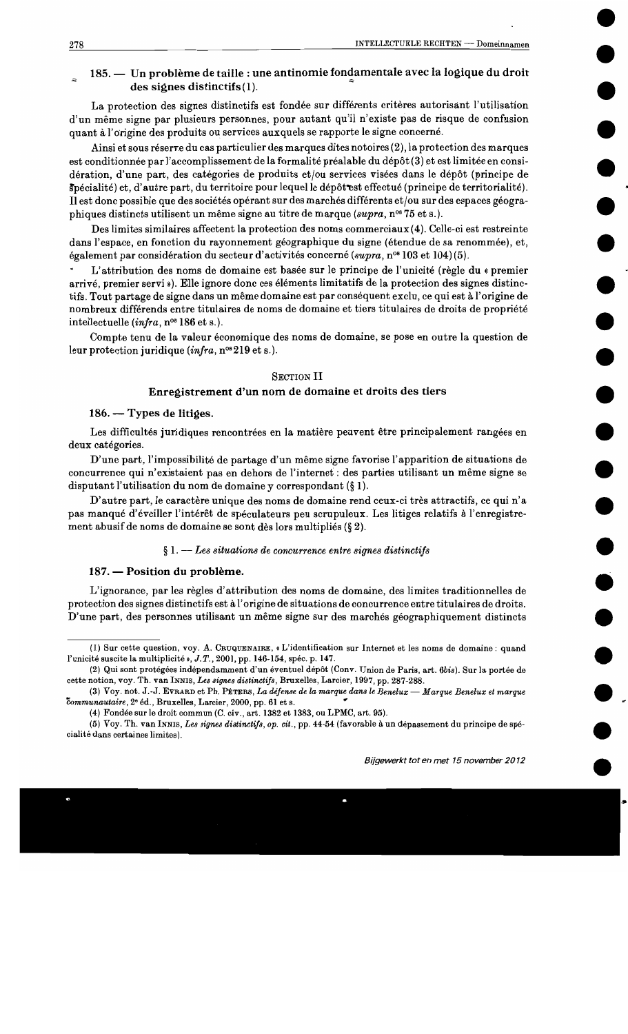# 185. — Un problème de taille : une antinomie fondamentale avec la logique du droit des signes distinctifs(1).

La protection des signes distinctifs est fondée sur différents critères autorisant l'utilisation d'un même signe par plusieurs personnes, pour autant qu'il n'existe pas de risque de confusion quant à l'origine des produits ou services auxquels se rapporte le signe concerné.

Ainsi et sous réserve du cas particulier des marques dites notoires (2), la protection des marques est conditionnée par l'accomplissement de la formalité préalable du dépôt (3) et est limitée en considération, d'une part, des catégories de produits et/ou services visées dans le dépôt (principe de Spécialité) et, d'autre part, du territoire pour lequel le dépôt est effectué (principe de territorialité). Il est donc possible que des sociétés opérant sur des marchés différents et/ou sur des espaces géographiques distincts utilisent un même signe au titre de marque (supra, n° 75 et s.).

Des limites similaires affectent la protection des noms commerciaux (4). Celle-ci est restreinte dans l'espace, en fonction du rayonnement géographique du signe (étendue de sa renommée), et, également par considération du secteur d'activités concerné (supra, n<sup>os</sup> 103 et 104)(5).

L'attribution des noms de domaine est basée sur le principe de l'unicité (règle du « premier arrivé, premier servi»). Elle ignore donc ces éléments limitatifs de la protection des signes distinctifs. Tout partage de signe dans un même domaine est par conséquent exclu, ce qui est à l'origine de nombreux différends entre titulaires de noms de domaine et tiers titulaires de droits de propriété intellectuelle (infra, nos 186 et s.).

Compte tenu de la valeur économique des noms de domaine, se pose en outre la question de leur protection juridique (infra,  $n^{\circ s}$  219 et s.).

## **SECTION II**

## Enregistrement d'un nom de domaine et droits des tiers

#### 186. — Types de litiges.

Les difficultés juridiques rencontrées en la matière peuvent être principalement rangées en deux catégories.

D'une part, l'impossibilité de partage d'un même signe favorise l'apparition de situations de concurrence qui n'existaient pas en dehors de l'internet : des parties utilisant un même signe se disputant l'utilisation du nom de domaine y correspondant  $(\S 1)$ .

D'autre part, le caractère unique des noms de domaine rend ceux-ci très attractifs, ce qui n'a pas manqué d'éveiller l'intérêt de spéculateurs peu scrupuleux. Les litiges relatifs à l'enregistrement abusif de noms de domaine se sont dès lors multipliés (§ 2).

#### $\S 1.$  -- Les situations de concurrence entre signes distinctifs

## 187. — Position du problème.

L'ignorance, par les règles d'attribution des noms de domaine, des limites traditionnelles de protection des signes distinctifs est à l'origine de situations de concurrence entre titulaires de droits. D'une part, des personnes utilisant un même signe sur des marchés géographiquement distincts

<sup>(</sup>I) Sur cette question, voy. A. CRUQUENAIRE, « L'identification sur Internet et les noms de domaine : quand l'unicité suscite la multiplicité », J.T., 2001, pp. 146-154, spéc. p. 147.

<sup>(2)</sup> Qui sont protégées indépendamment d'un éventuel dépôt (Conv. Union de Paris, art. 6bis). Sur la portée de cette notion, voy. Th. van INNIS, Les signes distinctifs, Bruxelles, Larcier, 1997, pp. 287-288.

<sup>(3)</sup> Voy. not. J.-J. EVRARD et Ph. PETERS, La défense de la marque dans le Benelux — Marque Benelux et marque communautaire, 2º éd., Bruxelles, Larcier, 2000, pp. 61 et s.

<sup>(4)</sup> Fondée sur le droit commun (C. civ., art. 1382 et 1383, ou LPMC, art. 95).

<sup>(5)</sup> Voy. Th. van INNIS, Les signes distinctifs, op. cit., pp. 44-54 (favorable à un dépassement du principe de spécialité dans certaines limites).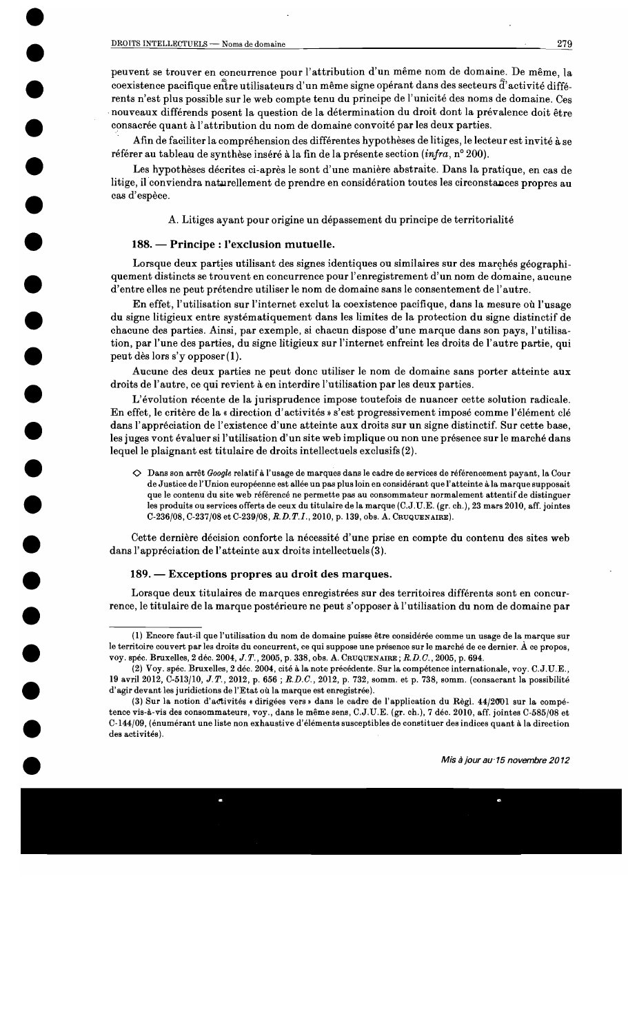peuvent se trouver en concurrence pour l'attribution d'un même nom de domaine. De même, la coexistence pacifique entre utilisateurs d'un même signe opérant dans des secteurs d'activité différents n'est plus possible sur le web compte tenu du principe de l'unicité des noms de domaine. Ces nouveaux différends posent la question de la détermination du droit dont la prévalence doit être consacrée quant à l'attribution du nom de domaine convoité par les deux parties.

Afin de faciliter la compréhension des différentes hypothèses de litiges, le lecteur est invité à se référer au tableau de synthèse inséré à la fin de la présente section (infra, n° 200).

Les hypothèses décrites ci-après le sont d'une manière abstraite. Dans la pratique, en cas de litige, il conviendra naturellement de prendre en considération toutes les circonstances propres au cas d'espèce.

A. Litiges ayant pour origine un dépassement du principe de territorialité

## 188. — Principe : l'exclusion mutuelle.

Lorsque deux parties utilisant des signes identiques ou similaires sur des marchés géographiquement distincts se trouvent en concurrence pour l'enregistrement d'un nom de domaine, aucune d'entre elles ne peut prétendre utiliser le nom de domaine sans le consentement de l'autre.

En effet, l'utilisation sur l'internet exclut la coexistence pacifique, dans la mesure où l'usage du signe litigieux entre systématiquement dans les limites de la protection du signe distinctif de chacune des parties. Ainsi, par exemple, si chacun dispose d'une marque dans son pays, l'utilisation, par l'une des parties, du signe litigieux sur l'internet enfreint les droits de l'autre partie, qui peut dès lors s'y opposer (1).

Aucune des deux parties ne peut donc utiliser le nom de domaine sans porter atteinte aux droits de l'autre, ce qui revient à en interdire l'utilisation par les deux parties.

L'évolution récente de la jurisprudence impose toutefois de nuancer cette solution radicale. En effet, le critère de la « direction d'activités » s'est progressivement imposé comme l'élément clé dans l'appréciation de l'existence d'une atteinte aux droits sur un signe distinctif. Sur cette base, les juges vont évaluer si l'utilisation d'un site web implique ou non une présence sur le marché dans lequel le plaignant est titulaire de droits intellectuels exclusifs (2).

◇ Dans son arrêt Google relatif à l'usage de marques dans le cadre de services de référencement payant, la Cour de Justice de l'Union européenne est allée un pas plus loin en considérant que l'atteinte à la marque supposait que le contenu du site web référencé ne permette pas au consommateur normalement attentif de distinguer les produits ou services offerts de ceux du titulaire de la marque (C.J.U.E. (gr. ch.), 23 mars 2010, aff. jointes C-236/08, C-237/08 et C-239/08, R.D.T.I., 2010, p. 139, obs. A. CRUQUENAIRE).

Cette dernière décision conforte la nécessité d'une prise en compte du contenu des sites web dans l'appréciation de l'atteinte aux droits intellectuels (3).

## 189. — Exceptions propres au droit des marques.

Lorsque deux titulaires de marques enregistrées sur des territoires différents sont en concurrence, le titulaire de la marque postérieure ne peut s'opposer à l'utilisation du nom de domaine par

<sup>(1)</sup> Encore faut-il que l'utilisation du nom de domaine puisse être considérée comme un usage de la marque sur le territoire couvert par les droits du concurrent, ce qui suppose une présence sur le marché de ce dernier. À ce propos, voy. spéc. Bruxelles, 2 déc. 2004, J.T., 2005, p. 338, obs. A. CRUQUENAIRE; R.D.C., 2005, p. 694.

<sup>(2)</sup> Voy. spéc. Bruxelles, 2 déc. 2004, cité à la note précédente. Sur la compétence internationale, voy. C.J.U.E., 19 avril 2012, C-513/10, J.T., 2012, p. 656; R.D.C., 2012, p. 732, somm. et p. 738, somm. (consacrant la possibilité d'agir devant les juridictions de l'Etat où la marque est enregistrée).

<sup>(3)</sup> Sur la notion d'activités « dirigées vers » dans le cadre de l'application du Règl. 44/2001 sur la compétence vis-à-vis des consommateurs, voy., dans le même sens, C.J.U.E. (gr. ch.), 7 déc. 2010, aff. jointes C-585/08 et C-144/09, (énumérant une liste non exhaustive d'éléments susceptibles de constituer des indices quant à la direction des activités).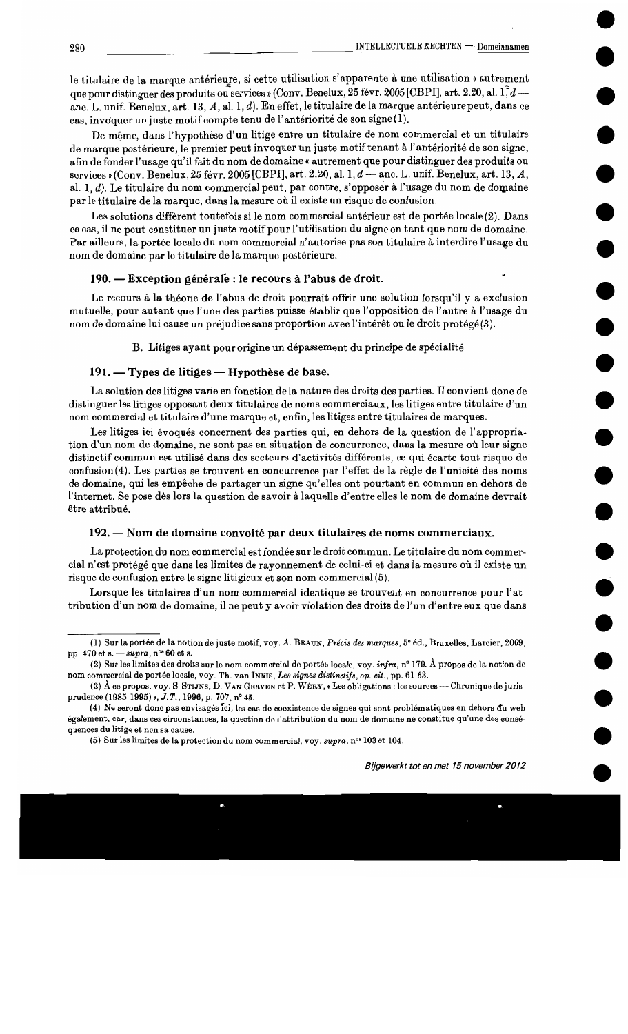le titulaire de la marque antérieure, si cette utilisation s'apparente à une utilisation « autrement que pour distinguer des produits ou services » (Conv. Benelux, 25 févr. 2005 [CBPI], art. 2.20, al. 1, d anc. L. unif. Benelux, art. 13, A, al. 1, d). En effet, le titulaire de la marque antérieure peut, dans ce cas, invoquer un juste motif compte tenu de l'antériorité de son signe (1).

De même, dans l'hypothèse d'un litige entre un titulaire de nom commercial et un titulaire de marque postérieure, le premier peut invoquer un juste motif tenant à l'antériorité de son signe, afin de fonder l'usage qu'il fait du nom de domaine « autrement que pour distinguer des produits ou services » (Conv. Benelux, 25 févr. 2005 [CBPI], art. 2.20, al. 1, d - anc. L. unif. Benelux, art. 13, A, al. 1, d). Le titulaire du nom commercial peut, par contre, s'opposer à l'usage du nom de domaine par le titulaire de la marque, dans la mesure où il existe un risque de confusion.

Les solutions diffèrent toutefois si le nom commercial antérieur est de portée locale(2). Dans ce cas, il ne peut constituer un juste motif pour l'utilisation du signe en tant que nom de domaine. Par ailleurs, la portée locale du nom commercial n'autorise pas son titulaire à interdire l'usage du nom de domaine par le titulaire de la marque postérieure.

#### 190. — Exception générale : le recours à l'abus de droit.

Le recours à la théorie de l'abus de droit pourrait offrir une solution lorsqu'il y a exclusion mutuelle, pour autant que l'une des parties puisse établir que l'opposition de l'autre à l'usage du nom de domaine lui cause un préjudice sans proportion avec l'intérêt ou le droit protégé (3).

B. Litiges ayant pour origine un dépassement du principe de spécialité

## 191. — Types de litiges — Hypothèse de base.

La solution des litiges varie en fonction de la nature des droits des parties. Il convient donc de distinguer les litiges opposant deux titulaires de noms commerciaux, les litiges entre titulaire d'un nom commercial et titulaire d'une marque et, enfin, les litiges entre titulaires de marques.

Les litiges ici évoqués concernent des parties qui, en dehors de la question de l'appropriation d'un nom de domaine, ne sont pas en situation de concurrence, dans la mesure où leur signe distinctif commun est utilisé dans des secteurs d'activités différents, ce qui écarte tout risque de confusion(4). Les parties se trouvent en concurrence par l'effet de la règle de l'unicité des noms de domaine, qui les empêche de partager un signe qu'elles ont pourtant en commun en dehors de l'internet. Se pose dès lors la question de savoir à laquelle d'entre elles le nom de domaine devrait être attribué.

#### 192. — Nom de domaine convoité par deux titulaires de noms commerciaux.

La protection du nom commercial est fondée sur le droit commun. Le titulaire du nom commercial n'est protégé que dans les limites de rayonnement de celui-ci et dans la mesure où il existe un risque de confusion entre le signe litigieux et son nom commercial (5).

Lorsque les titulaires d'un nom commercial identique se trouvent en concurrence pour l'attribution d'un nom de domaine, il ne peut y avoir violation des droits de l'un d'entre eux que dans

<sup>(1)</sup> Sur la portée de la notion de juste motif, voy. A. BRAUN, Précis des marques, 5<sup>e</sup> éd., Bruxelles, Larcier, 2009, pp. 470 et s.  $\frac{3}{2}$  - supra, n<sup>os</sup> 60 et s.

<sup>(2)</sup> Sur les limites des droits sur le nom commercial de portée locale, voy. infra, n° 179. À propos de la notion de nom commercial de portée locale, voy. Th. van INNIS, Les signes distinctifs, op. cit., pp. 61-63.

<sup>(3)</sup> A ce propos. voy. S. STIJNS, D. VAN GERVEN et P. WERY, « Les obligations : les sources -- Chronique de jurisprudence (1985-1995) », J.T., 1996, p. 707, nº 45.

<sup>(4)</sup> Ne seront donc pas envisagés tci, les cas de coexistence de signes qui sont problématiques en dehors du web également, car, dans ces circonstances, la question de l'attribution du nom de domaine ne constitue qu'une des conséquences du litige et non sa cause.

<sup>(5)</sup> Sur les limites de la protection du nom commercial, voy. supra, nº 103 et 104.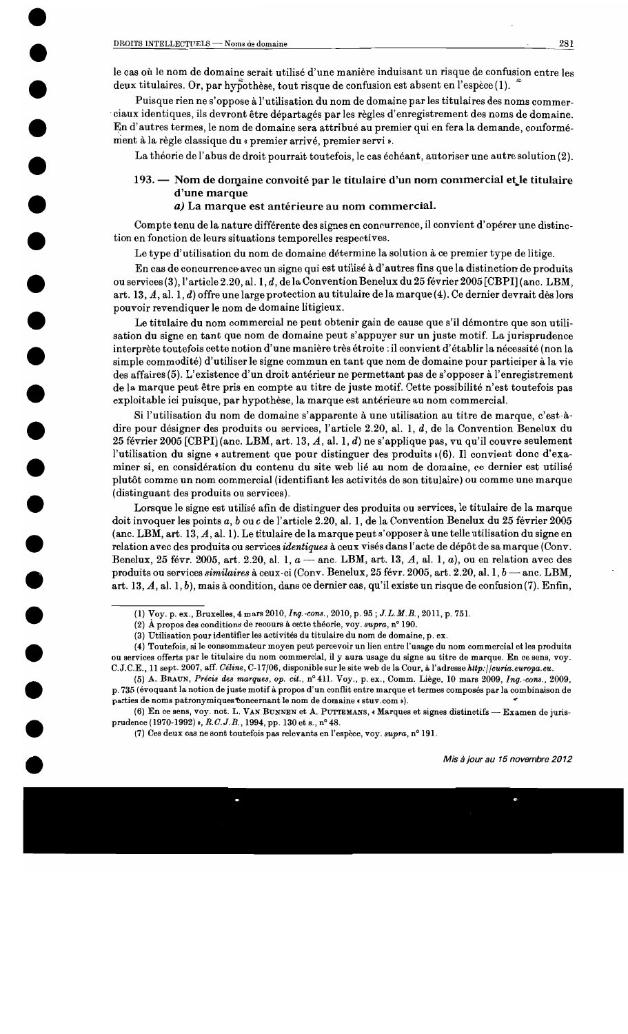le cas où le nom de domaine serait utilisé d'une manière induisant un risque de confusion entre les deux titulaires. Or, par hypothèse, tout risque de confusion est absent en l'espèce  $(1)$ .

Puisque rien ne s'oppose à l'utilisation du nom de domaine par les titulaires des noms commerciaux identiques, ils devront être départagés par les règles d'enregistrement des noms de domaine. En d'autres termes, le nom de domaine sera attribué au premier qui en fera la demande, conformément à la règle classique du « premier arrivé, premier servi ».

La théorie de l'abus de droit pourrait toutefois, le cas échéant, autoriser une autre solution (2).

# 193. — Nom de domaine convoité par le titulaire d'un nom commercial et le titulaire d'une marque

## a) La marque est antérieure au nom commercial.

Compte tenu de la nature différente des signes en concurrence, il convient d'opérer une distinction en fonction de leurs situations temporelles respectives.

Le type d'utilisation du nom de domaine détermine la solution à ce premier type de litige.

En cas de concurrence avec un signe qui est utilisé à d'autres fins que la distinction de produits ou services (3), l'article 2.20, al. 1, d, de la Convention Benelux du 25 février 2005 [CBPI] (anc. LBM, art. 13, A, al. 1, d) offre une large protection au titulaire de la marque (4). Ce dernier devrait dès lors pouvoir revendiquer le nom de domaine litigieux.

Le titulaire du nom commercial ne peut obtenir gain de cause que s'il démontre que son utilisation du signe en tant que nom de domaine peut s'appuyer sur un juste motif. La jurisprudence interprète toutefois cette notion d'une manière très étroite : il convient d'établir la nécessité (non la simple commodité) d'utiliser le signe commun en tant que nom de domaine pour participer à la vie des affaires (5). L'existence d'un droit antérieur ne permettant pas de s'opposer à l'enregistrement de la marque peut être pris en compte au titre de juste motif. Cette possibilité n'est toutefois pas exploitable ici puisque, par hypothèse, la marque est antérieure au nom commercial.

Si l'utilisation du nom de domaine s'apparente à une utilisation au titre de marque, c'est-àdire pour désigner des produits ou services, l'article 2.20, al. 1, d, de la Convention Benelux du 25 février 2005 [CBPI] (anc. LBM, art. 13, A, al. 1, d) ne s'applique pas, vu qu'il couvre seulement l'utilisation du signe « autrement que pour distinguer des produits »(6). Il convient donc d'examiner si, en considération du contenu du site web lié au nom de domaine, ce dernier est utilisé plutôt comme un nom commercial (identifiant les activités de son titulaire) ou comme une marque (distinguant des produits ou services).

Lorsque le signe est utilisé afin de distinguer des produits ou services, le titulaire de la marque doit invoquer les points a, b ou c de l'article 2.20, al. 1, de la Convention Benelux du 25 février 2005 (anc. LBM, art. 13, A, al. 1). Le titulaire de la marque peut s'opposer à une telle utilisation du signe en relation avec des produits ou services *identiques* à ceux visés dans l'acte de dépôt de sa marque (Conv. Benelux, 25 févr. 2005, art. 2.20, al. 1,  $a$  - anc. LBM, art. 13, A, al. 1, a), ou en relation avec des produits ou services similaires à ceux-ci (Conv. Benelux, 25 févr. 2005, art. 2.20, al. 1, b - anc. LBM, art. 13,  $A$ , al. 1, b), mais à condition, dans ce dernier cas, qu'il existe un risque de confusion (7). Enfin,

(3) Utilisation pour identifier les activités du titulaire du nom de domaine, p. ex.

(6) En ce sens, voy. not. L. VAN BUNNEN et A. PUTTEMANS, « Marques et signes distinctifs — Examen de jurisprudence (1970-1992) », R.C.J.B., 1994, pp. 130 et s., nº 48.

(7) Ces deux cas ne sont toutefois pas relevants en l'espèce, voy. supra, n° 191.

<sup>(1)</sup> Voy. p. ex., Bruxelles, 4 mars 2010, Ing.-cons., 2010, p. 95; J.L.M.B., 2011, p. 751.

<sup>(2)</sup> A propos des conditions de recours à cette théorie, voy.  $supra$ , n° 190.

<sup>(4)</sup> Toutefois, si le consommateur moyen peut percevoir un lien entre l'usage du nom commercial et les produits ou services offerts par le titulaire du nom commercial, il y aura usage du signe au titre de marque. En ce sens, voy. C.J.C.E., 11 sept. 2007, aff. Céline, C-17/06, disponible sur le site web de la Cour, à l'adresse http://curia.europa.eu.

<sup>(5)</sup> A. BRAUN, Précis des marques, op. cit., n° 411. Voy., p. ex., Comm. Liège, 10 mars 2009, Ing.-cons., 2009, p. 735 (évoquant la notion de juste motif à propos d'un conflit entre marque et termes composés par la combinaison de parties de noms patronymiques concernant le nom de domaine « stuv.com »).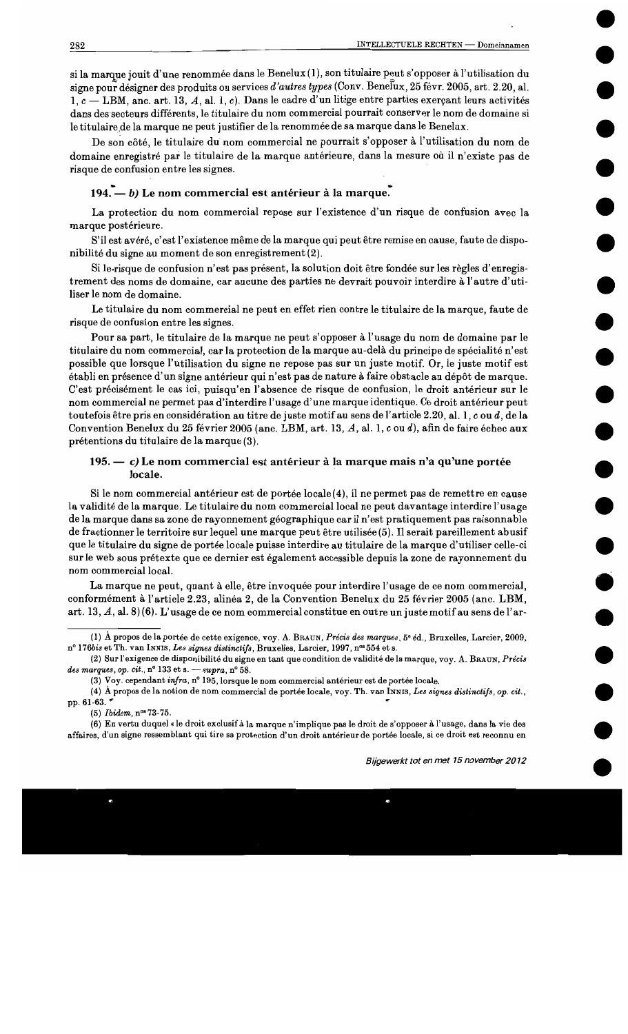si la marque jouit d'une renommée dans le Benelux (1), son titulaire peut s'opposer à l'utilisation du signe pour désigner des produits ou services d'autres types (Conv. Benelux, 25 févr. 2005, art. 2.20, al.  $1, c -$ LBM, anc. art. 13, A, al. 1, c). Dans le cadre d'un litige entre parties exerçant leurs activités dans des secteurs différents, le titulaire du nom commercial pourrait conserver le nom de domaine si le titulaire de la marque ne peut justifier de la renommée de sa marque dans le Benelux.

De son côté, le titulaire du nom commercial ne pourrait s'opposer à l'utilisation du nom de domaine enregistré par le titulaire de la marque antérieure, dans la mesure où il n'existe pas de risque de confusion entre les signes.

# 194. — b) Le nom commercial est antérieur à la marque.

La protection du nom commercial repose sur l'existence d'un risque de confusion avec la marque postérieure.

S'il est avéré, c'est l'existence même de la marque qui peut être remise en cause, faute de disponibilité du signe au moment de son enregistrement (2).

Si le-risque de confusion n'est pas présent, la solution doit être fondée sur les règles d'enregistrement des noms de domaine, car aucune des parties ne devrait pouvoir interdire à l'autre d'utiliser le nom de domaine.

Le titulaire du nom commercial ne peut en effet rien contre le titulaire de la marque, faute de risque de confusion entre les signes.

Pour sa part, le titulaire de la marque ne peut s'opposer à l'usage du nom de domaine par le titulaire du nom commercial, car la protection de la marque au-delà du principe de spécialité n'est possible que lorsque l'utilisation du signe ne repose pas sur un juste motif. Or, le juste motif est établi en présence d'un signe antérieur qui n'est pas de nature à faire obstacle au dépôt de marque. C'est précisément le cas ici, puisqu'en l'absence de risque de confusion, le droit antérieur sur le nom commercial ne permet pas d'interdire l'usage d'une marque identique. Ce droit antérieur peut toutefois être pris en considération au titre de juste motif au sens de l'article 2.20, al. 1, c ou d, de la Convention Benelux du 25 février 2005 (anc. LBM, art. 13, A, al. 1, c ou d), afin de faire échec aux prétentions du titulaire de la marque (3).

## 195. — c) Le nom commercial est antérieur à la marque mais n'a qu'une portée locale.

Si le nom commercial antérieur est de portée locale(4), il ne permet pas de remettre en cause la validité de la marque. Le titulaire du nom commercial local ne peut davantage interdire l'usage de la marque dans sa zone de rayonnement géographique car il n'est pratiquement pas raisonnable de fractionner le territoire sur lequel une marque peut être utilisée (5). Il serait pareillement abusif que le titulaire du signe de portée locale puisse interdire au titulaire de la marque d'utiliser celle-ci sur le web sous prétexte que ce dernier est également accessible depuis la zone de rayonnement du nom commercial local.

La marque ne peut, quant à elle, être invoquée pour interdire l'usage de ce nom commercial, conformément à l'article 2.23, alinéa 2, de la Convention Benelux du 25 février 2005 (anc. LBM, art. 13, A, al. 8)(6). L'usage de ce nom commercial constitue en outre un juste motif au sens de l'ar-

(5) Ibidem,  $n^{os} 73-75$ .

(6) En vertu duquel « le droit exclusif à la marque n'implique pas le droit de s'opposer à l'usage, dans la vie des affaires, d'un signe ressemblant qui tire sa protection d'un droit antérieur de portée locale, si ce droit est reconnu en

<sup>(1)</sup> A propos de la portée de cette exigence, voy. A. BRAUN, Précis des marques, 5° éd., Bruxelles, Larcier, 2009, nº 176bis et Th. van INNIS, Les signes distinctifs, Bruxelles, Larcier, 1997, nº 554 et s.

<sup>(2)</sup> Sur l'exigence de disponibilité du signe en tant que condition de validité de la marque, voy. A. BRAUN, Précis des marques, op. cit., n° 133 et s.  $-$  supra, n° 58.

<sup>(3)</sup> Voy. cependant infra, n° 195, lorsque le nom commercial antérieur est de portée locale.

<sup>(4)</sup> À propos de la notion de nom commercial de portée locale, voy. Th. van INNIS, Les signes distinctifs, op. cit., pp. 61-63.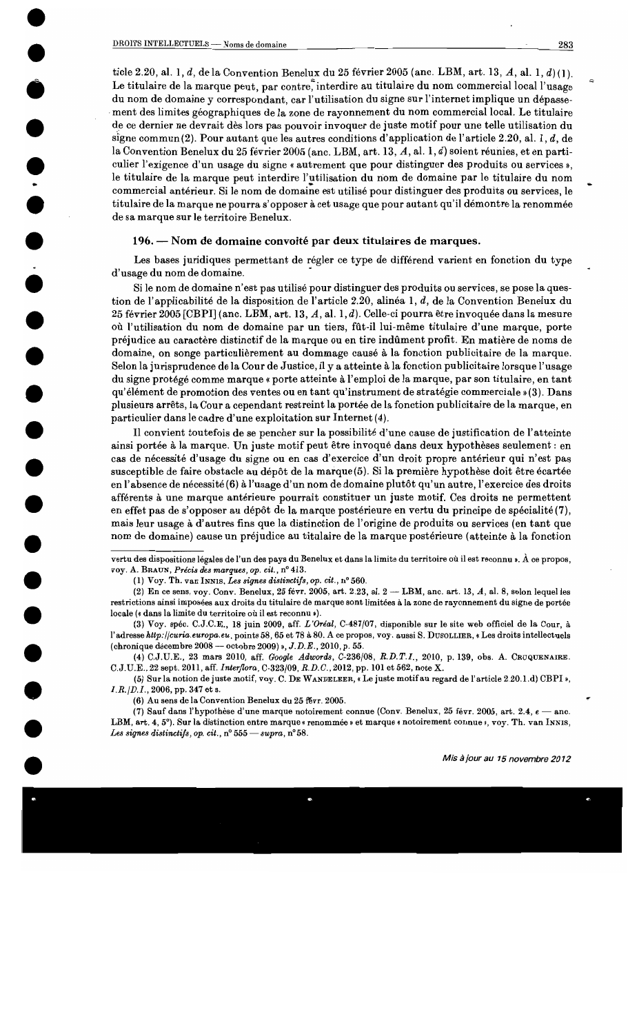ticle 2.20, al. 1, d, de la Convention Benelux du 25 février 2005 (anc. LBM, art. 13, A, al. 1, d)(1). Le titulaire de la marque peut, par contre, interdire au titulaire du nom commercial local l'usage du nom de domaine y correspondant, car l'utilisation du signe sur l'internet implique un dépassement des limites géographiques de la zone de rayonnement du nom commercial local. Le titulaire de ce dernier ne devrait dès lors pas pouvoir invoquer de juste motif pour une telle utilisation du signe commun(2). Pour autant que les autres conditions d'application de l'article 2.20, al. 1, d, de la Convention Benelux du 25 février 2005 (anc. LBM, art. 13, A, al. 1, d) soient réunies, et en particulier l'exigence d'un usage du signe « autrement que pour distinguer des produits ou services », le titulaire de la marque peut interdire l'utilisation du nom de domaine par le titulaire du nom commercial antérieur. Si le nom de domaine est utilisé pour distinguer des produits ou services, le titulaire de la marque ne pourra s'opposer à cet usage que pour autant qu'il démontre la renommée de sa marque sur le territoire Benelux.

#### 196. — Nom de domaine convoité par deux titulaires de marques.

Les bases juridiques permettant de régler ce type de différend varient en fonction du type d'usage du nom de domaine.

Si le nom de domaine n'est pas utilisé pour distinguer des produits ou services, se pose la question de l'applicabilité de la disposition de l'article 2.20, alinéa 1, d, de la Convention Benelux du 25 février 2005 [CBPI] (anc. LBM, art. 13, A, al. 1, d). Celle-ci pourra être invoquée dans la mesure où l'utilisation du nom de domaine par un tiers, fût-il lui-même titulaire d'une marque, porte préjudice au caractère distinctif de la marque ou en tire indûment profit. En matière de noms de domaine, on songe particulièrement au dommage causé à la fonction publicitaire de la marque. Selon la jurisprudence de la Cour de Justice, il y a atteinte à la fonction publicitaire lorsque l'usage du signe protégé comme marque « porte atteinte à l'emploi de la marque, par son titulaire, en tant qu'élément de promotion des ventes ou en tant qu'instrument de stratégie commerciale »(3). Dans plusieurs arrêts, la Cour a cependant restreint la portée de la fonction publicitaire de la marque, en particulier dans le cadre d'une exploitation sur Internet (4).

Il convient toutefois de se pencher sur la possibilité d'une cause de justification de l'atteinte ainsi portée à la marque. Un juste motif peut être invoqué dans deux hypothèses seulement : en cas de nécessité d'usage du signe ou en cas d'exercice d'un droit propre antérieur qui n'est pas susceptible de faire obstacle au dépôt de la marque (5). Si la première hypothèse doit être écartée en l'absence de nécessité (6) à l'usage d'un nom de domaine plutôt qu'un autre, l'exercice des droits afférents à une marque antérieure pourrait constituer un juste motif. Ces droits ne permettent en effet pas de s'opposer au dépôt de la marque postérieure en vertu du principe de spécialité (7), mais leur usage à d'autres fins que la distinction de l'origine de produits ou services (en tant que nom de domaine) cause un préjudice au titulaire de la marque postérieure (atteinte à la fonction

vertu des dispositions légales de l'un des pays du Benelux et dans la limite du territoire où il est reconnu ». À ce propos, voy. A. BRAUN, Précis des marques, op. cit., nº 413.

<sup>(1)</sup> Voy. Th. van INNIS, Les signes distinctifs, op. cit.,  $n^{\circ}$  560.

<sup>(2)</sup> En ce sens, voy. Conv. Benelux, 25 févr. 2005, art. 2.23, al.  $2 -$ LBM, anc. art. 13, A, al. 8, selon lequel les restrictions ainsi imposées aux droits du titulaire de marque sont limitées à la zone de rayonnement du signe de portée locale (« dans la limite du territoire où il est reconnu »).

<sup>(3)</sup> Voy. spéc. C.J.C.E., 18 juin 2009, aff. L'Oréal, C-487/07, disponible sur le site web officiel de la Cour, à l'adresse http://curia.europa.eu, points 58, 65 et 78 à 80. A ce propos, voy. aussi S. DUSOLLIER, « Les droits intellectuels (chronique décembre 2008 - octobre 2009) »,  $J.D.E., 2010, p. 55.$ 

<sup>(4)</sup> C.J.U.E., 23 mars 2010, aff. Google Adwords, C-236/08, R.D.T.I., 2010, p. 139, obs. A. CRUQUENAIRE. C.J.U.E., 22 sept. 2011, aff. Interflora, C-323/09, R.D.C., 2012, pp. 101 et 562, note X.

<sup>(5)</sup> Sur la notion de juste motif, voy. C. DE WANDELEER, « Le juste motif au regard de l'article 2.20.1.d) CBPI »,  $I.R./D.I., 2006, pp. 347 et s.$ 

<sup>(6)</sup> Au sens de la Convention Benelux du 25 févr. 2005.

<sup>(7)</sup> Sauf dans l'hypothèse d'une marque notoirement connue (Conv. Benelux, 25 févr. 2005, art. 2.4, e - anc. LBM, art. 4, 5°). Sur la distinction entre marque « renommée » et marque « notoirement connue », voy. Th. van INNIS, Les signes distinctifs, op. cit.,  $n^{\circ} 555$  - supra,  $n^{\circ} 58$ .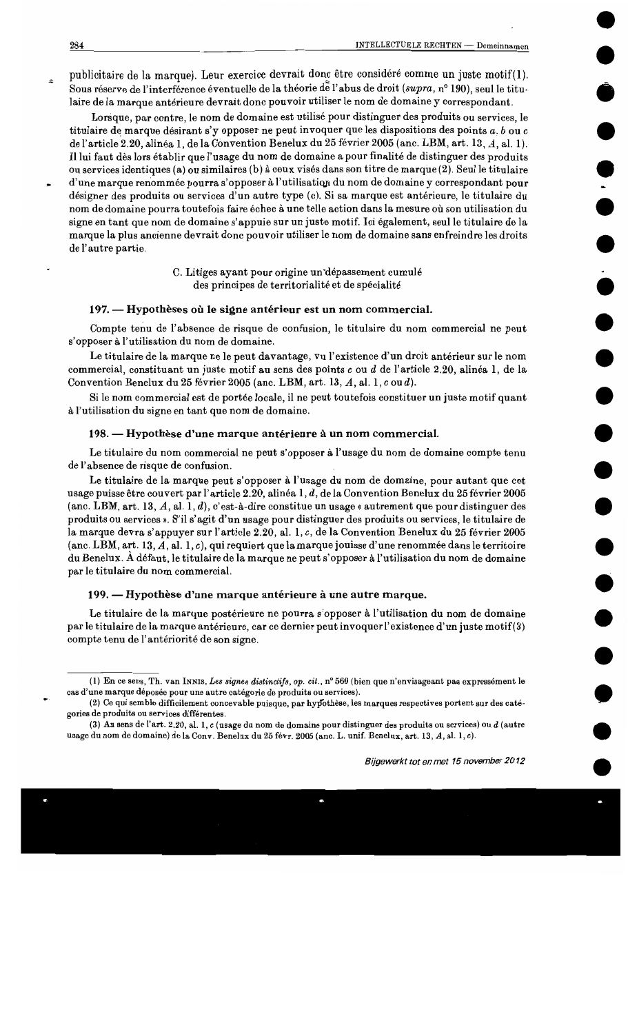publicitaire de la marque). Leur exercice devrait donc être considéré comme un juste motif(1). Sous réserve de l'interférence éventuelle de la théorie de l'abus de droit (supra, n° 190), seul le titulaire de la marque antérieure devrait donc pouvoir utiliser le nom de domaine y correspondant.

Lorsque, par contre, le nom de domaine est utilisé pour distinguer des produits ou services, le titulaire de marque désirant s'y opposer ne peut invoquer que les dispositions des points  $a, b$  ou  $c$ de l'article 2.20, alinéa 1, de la Convention Benelux du 25 février 2005 (anc. LBM, art. 13, A, al. 1). Il lui faut dès lors établir que l'usage du nom de domaine a pour finalité de distinguer des produits ou services identiques (a) ou similaires (b) à ceux visés dans son titre de marque (2). Seul le titulaire d'une marque renommée pourra s'opposer à l'utilisation du nom de domaine y correspondant pour désigner des produits ou services d'un autre type (c). Si sa marque est antérieure, le titulaire du nom de domaine pourra toutefois faire échec à une telle action dans la mesure où son utilisation du signe en tant que nom de domaine s'appuie sur un juste motif. Ici également, seul le titulaire de la marque la plus ancienne devrait donc pouvoir utiliser le nom de domaine sans enfreindre les droits de l'autre partie.

> C. Litiges ayant pour origine un'dépassement cumulé des principes de territorialité et de spécialité

## 197. — Hypothèses où le signe antérieur est un nom commercial.

Compte tenu de l'absence de risque de confusion, le titulaire du nom commercial ne peut s'opposer à l'utilisation du nom de domaine.

Le titulaire de la marque ne le peut davantage, vu l'existence d'un droit antérieur sur le nom commercial, constituant un juste motif au sens des points c ou d de l'article 2.20, alinéa 1, de la Convention Benelux du 25 février 2005 (anc. LBM, art. 13, A, al. 1, c ou d).

Si le nom commercial est de portée locale, il ne peut toutefois constituer un juste motif quant à l'utilisation du signe en tant que nom de domaine.

#### 198. — Hypothèse d'une marque antérieure à un nom commercial.

Le titulaire du nom commercial ne peut s'opposer à l'usage du nom de domaine compte tenu de l'absence de risque de confusion.

Le titulaire de la marque peut s'opposer à l'usage du nom de domaine, pour autant que cet usage puisse être couvert par l'article 2.20, alinéa 1, d, de la Convention Benelux du 25 février 2005 (anc. LBM, art. 13, A, al. 1, d), c'est-à-dire constitue un usage « autrement que pour distinguer des produits ou services ». S'il s'agit d'un usage pour distinguer des produits ou services, le titulaire de la marque devra s'appuyer sur l'article 2.20, al. 1, c, de la Convention Benelux du 25 février 2005 (anc. LBM, art. 13, A, al. 1, c), qui requiert que la marque jouisse d'une renommée dans le territoire du Benelux. À défaut, le titulaire de la marque ne peut s'opposer à l'utilisation du nom de domaine par le titulaire du nom commercial.

#### 199. — Hypothèse d'une marque antérieure à une autre marque.

Le titulaire de la marque postérieure ne pourra s'opposer à l'utilisation du nom de domaine par le titulaire de la marque antérieure, car ce dernier peut invoquer l'existence d'un juste motif(3) compte tenu de l'antériorité de son signe.

<sup>(1)</sup> En ce sens, Th. van INNIS, Les signes distinctifs, op. cit., n° 560 (bien que n'envisageant pas expressément le cas d'une marque déposée pour une autre catégorie de produits ou services).

<sup>(2)</sup> Ce qui semble difficilement concevable puisque, par hypothèse, les marques respectives portent sur des catégories de produits ou services différentes.

<sup>(3)</sup> Au sens de l'art. 2.20, al. 1, c (usage du nom de domaine pour distinguer des produits ou services) ou d (autre usage du nom de domaine) de la Conv. Benelux du 25 févr. 2005 (anc. L. unif. Benelux, art. 13, A, al. 1, c).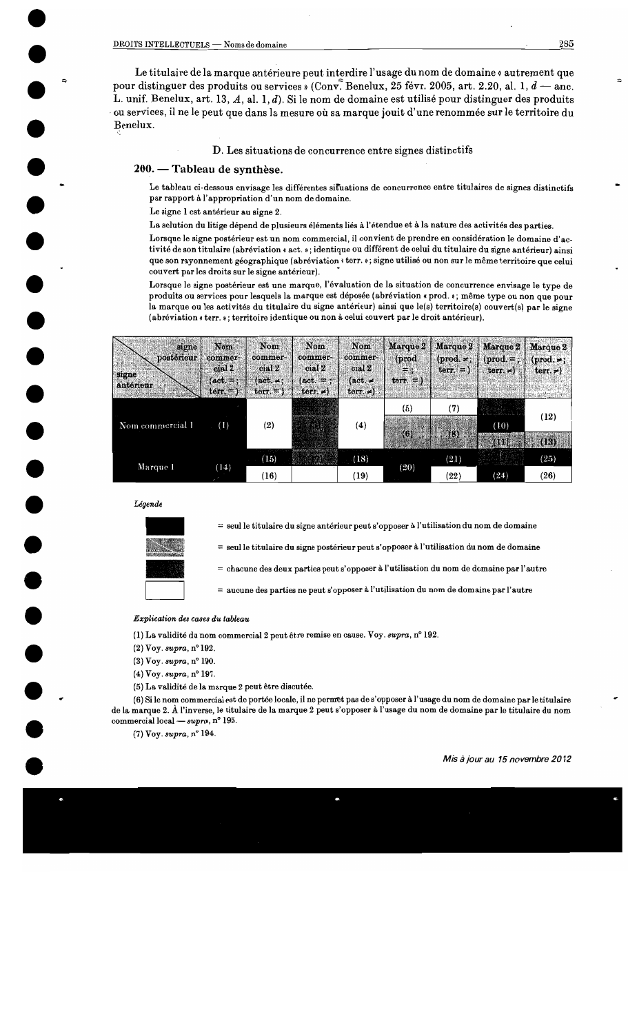Le titulaire de la marque antérieure peut interdire l'usage du nom de domaine « autrement que pour distinguer des produits ou services » (Conv. Benelux, 25 févr. 2005, art. 2.20, al. 1,  $d$  – and L. unif. Benelux, art. 13, A, al. 1, d). Si le nom de domaine est utilisé pour distinguer des produits ou services, il ne le peut que dans la mesure où sa marque jouit d'une renommée sur le territoire du Benelux.

## D. Les situations de concurrence entre signes distinctifs

#### 200. — Tableau de synthèse.

Le tableau ci-dessous envisage les différentes situations de concurrence entre titulaires de signes distinctifs par rapport à l'appropriation d'un nom de domaine.

Le signe 1 est antérieur au signe 2.

La solution du litige dépend de plusieurs éléments liés à l'étendue et à la nature des activités des parties.

Lorsque le signe postérieur est un nom commercial, il convient de prendre en considération le domaine d'activité de son titulaire (abréviation « act. »; identique ou différent de celui du titulaire du signe antérieur) ainsi que son rayonnement géographique (abréviation « terr. »; signe utilisé ou non sur le même territoire que celui couvert par les droits sur le signe antérieur).

Lorsque le signe postérieur est une marque, l'évaluation de la situation de concurrence envisage le type de produits ou services pour lesquels la marque est déposée (abréviation « prod. »; même type ou non que pour la marque ou les activités du titulaire du signe antérieur) ainsi que le(s) territoire(s) couvert(s) par le signe (abréviation « terr. »; territoire identique ou non à celui couvert par le droit antérieur).

| signe<br>postérieur<br>signe<br>antérieur | Nom<br>commer-<br>cial 2<br>$(\text{act.} =$ :<br>$ter =$ | Nom<br>commer-<br>cial 2<br>$(\text{act.} \neq)$<br>$\text{terr.} =$ | Nom<br>commer-<br>cial <sub>2</sub><br>$(\text{act.} =$ ;<br>terr. $\neq$ | Nom<br>commer-<br>cial 2<br>$(\text{act.} \neq$<br>terr. $\neq$ ) | (prod.<br>三家<br>$\text{term} =$ | $M$ arque $2 \mid M$ arque $2 \mid$<br>$i$<br>$terr. = 1$ | Marque 2<br>$prod =:  $<br>$\text{term.} \neq$ | Marque 2<br>$(prod. =)$<br>terr. $\neq$ |
|-------------------------------------------|-----------------------------------------------------------|----------------------------------------------------------------------|---------------------------------------------------------------------------|-------------------------------------------------------------------|---------------------------------|-----------------------------------------------------------|------------------------------------------------|-----------------------------------------|
| Nom commercial 1                          | (1)                                                       | (2)                                                                  |                                                                           | (4)                                                               | (5)<br>(6)                      | (7)<br>(8)                                                | (10)                                           | (12)                                    |
| Marque 1                                  | (14)                                                      | (15)                                                                 |                                                                           | (18)                                                              | (20)                            | (21)                                                      | <b>THE</b>                                     | (13)<br>(25)                            |
|                                           |                                                           | (16)                                                                 |                                                                           | (19)                                                              |                                 | (22)                                                      | (24)                                           | (26)                                    |

#### Légende



= seul le titulaire du signe antérieur peut s'opposer à l'utilisation du nom de domaine

 $=$  seul le titulaire du signe postérieur peut s'opposer à l'utilisation du nom de domaine

 $=$  chacune des deux parties peut s'opposer à l'utilisation du nom de domaine par l'autre

 $=$  aucune des parties ne peut s'opposer à l'utilisation du nom de domaine par l'autre

#### Explication des cases du tableau

(1) La validité du nom commercial 2 peut être remise en cause. Voy. supra, n° 192.

- $(2)$  Voy. supra,  $n^{\circ}$  192.
- (3) Voy. supra, nº 190.
- $(4)$  Voy.  $supra$ , n° 197.
- (5) La validité de la marque 2 peut être discutée.

(6) Si le nom commercial est de portée locale, il ne permet pas de s'opposer à l'usage du nom de domaine par le titulaire de la marque 2. À l'inverse, le titulaire de la marque 2 peut s'opposer à l'usage du nom de domaine par le titulaire du nom commercial local —  $supra$ , n° 195.

 $(7)$  Vov. supra,  $n^{\circ}$  194.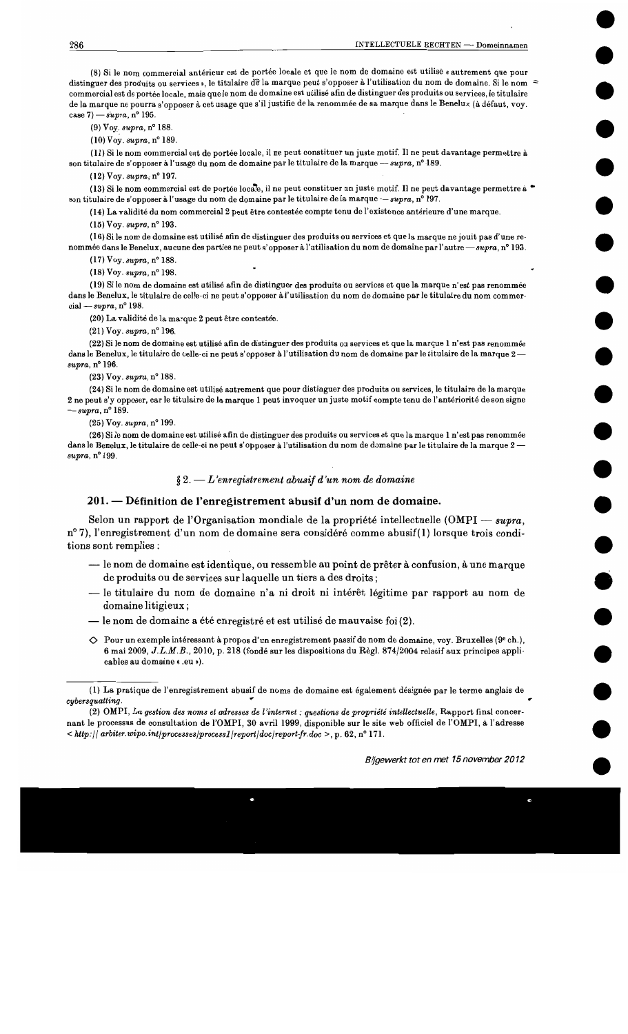(8) Si le nom commercial antérieur est de portée locale et que le nom de domaine est utilisé « autrement que pour distinguer des produits ou services », le titulaire de la marque peut s'opposer à l'utilisation du nom de domaine. Si le nom  $\approx$ commercial est de portée locale, mais que le nom de domaine est utilisé afin de distinguer des produits ou services, le titulaire de la marque ne pourra s'opposer à cet usage que s'il justifie de la renommée de sa marque dans le Benelux (à défaut. vov. case 7)  $-suvra$ , n° 195.

 $(9)$  Voy. supra, n° 188.

 $(10)$  Voy.  $supra$ , n° 189.

(11) Si le nom commercial est de portée locale, il ne peut constituer un juste motif. Il ne peut davantage permettre à son titulaire de s'opposer à l'usage du nom de domaine par le titulaire de la marque - supra, n° 189.

 $(12) \text{Voy. } \text{supra, } n^{\circ} 197.$ 

(13) Si le nom commercial est de portée locale, il ne peut constituer un juste motif. Il ne peut davantage permettre à son titulaire de s'opposer à l'usage du nom de domaine par le titulaire de la marque — supra, n° 197.

(14) La validité du nom commercial 2 peut être contestée compte tenu de l'existence antérieure d'une marque.

 $(15)$  Voy. supra, n° 193.

(16) Si le nom de domaine est utilisé afin de distinguer des produits ou services et que la marque ne jouit pas d'une renommée dans le Benelux, aucune des parties ne peut s'opposer à l'utilisation du nom de domaine par l'autre - supra, n° 193.

(17) Voy. supra, nº 188.

 $(18)$  Voy. supra, n° 198.

(19) Si le nom de domaine est utilisé afin de distinguer des produits ou services et que la marque n'est pas renommée dans le Benelux, le titulaire de celle-ci ne peut s'opposer à l'utilisation du nom de domaine par le titulaire du nom commercial - supra,  $n^{\circ}$  198.

(20) La validité de la marque 2 peut être contestée.

 $(21)$  Voy. supra, n° 196.

(22) Si le nom de domaine est utilisé afin de distinguer des produits ou services et que la marque 1 n'est pas renommée dans le Benelux, le titulaire de celle-ci ne peut s'opposer à l'utilisation du nom de domaine par le titulaire de la marque 2supra, nº 196.

 $(23)$  Voy.  $supra$ , n° 188.

(24) Si le nom de domaine est utilisé autrement que pour distinguer des produits ou services, le titulaire de la marque 2 ne peut s'y opposer, car le titulaire de la marque 1 peut invoquer un juste motif compte tenu de l'antériorité de son signe  $-sumra, n^{\circ} 189.$ 

(25) Voy. supra, nº 199.

(26) Si le nom de domaine est utilisé afin de distinguer des produits ou services et que la marque 1 n'est pas renommée dans le Benelux, le titulaire de celle-ci ne peut s'opposer à l'utilisation du nom de domaine par le titulaire de la marque 2 supra, nº 199.

 $\S 2. - L$ 'enregistrement abusif d'un nom de domaine

## 201. — Définition de l'enregistrement abusif d'un nom de domaine.

Selon un rapport de l'Organisation mondiale de la propriété intellectuelle (OMPI — supra, n°7), l'enregistrement d'un nom de domaine sera considéré comme abusif(1) lorsque trois conditions sont remplies :

- le nom de domaine est identique, ou ressemble au point de prêter à confusion, à une marque de produits ou de services sur laquelle un tiers a des droits;
- le titulaire du nom de domaine n'a ni droit ni intérêt légitime par rapport au nom de domaine litigieux;
- le nom de domaine a été enregistré et est utilisé de mauvaise foi (2).
- $\Diamond$  Pour un exemple intéressant à propos d'un enregistrement passif de nom de domaine, voy. Bruxelles (9<sup>e</sup> ch.), 6 mai 2009, J.L.M.B., 2010, p. 218 (fondé sur les dispositions du Règl. 874/2004 relatif aux principes applicables au domaine « .eu »).

<sup>(1)</sup> La pratique de l'enregistrement abusif de noms de domaine est également désignée par le terme anglais de cybersquatting.

<sup>(2)</sup> OMPI, La gestion des noms et adresses de l'internet : questions de propriété intellectuelle, Rapport final concernant le processus de consultation de l'OMPI, 30 avril 1999, disponible sur le site web officiel de l'OMPI, à l'adresse  $\langle$  http://arbiter.wipo.int/processes/process1/report/doc/report-fr.doc >, p. 62, n° 171.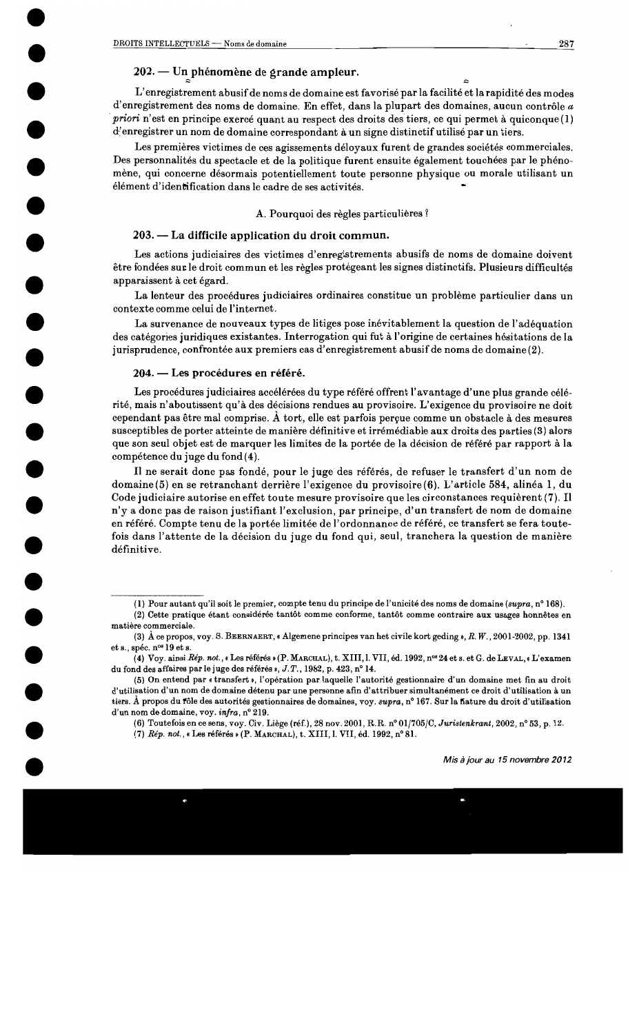# 202. — Un phénomène de grande ampleur.

L'enregistrement abusif de noms de domaine est favorisé par la facilité et la rapidité des modes d'enregistrement des noms de domaine. En effet, dans la plupart des domaines, aucun contrôle a priori n'est en principe exercé quant au respect des droits des tiers, ce qui permet à quiconque $(1)$ d'enregistrer un nom de domaine correspondant à un signe distinctif utilisé par un tiers.

Les premières victimes de ces agissements déloyaux furent de grandes sociétés commerciales. Des personnalités du spectacle et de la politique furent ensuite également touchées par le phénomène, qui concerne désormais potentiellement toute personne physique ou morale utilisant un élément d'identification dans le cadre de ses activités.

A. Pourquoi des règles particulières ?

## 203. — La difficile application du droit commun.

Les actions judiciaires des victimes d'enregistrements abusifs de noms de domaine doivent être fondées sur le droit commun et les règles protégeant les signes distinctifs. Plusieurs difficultés apparaissent à cet égard.

La lenteur des procédures judiciaires ordinaires constitue un problème particulier dans un contexte comme celui de l'internet.

La survenance de nouveaux types de litiges pose inévitablement la question de l'adéquation des catégories juridiques existantes. Interrogation qui fut à l'origine de certaines hésitations de la jurisprudence, confrontée aux premiers cas d'enregistrement abusif de noms de domaine (2).

## 204. — Les procédures en référé.

Les procédures judiciaires accélérées du type référé offrent l'avantage d'une plus grande célérité, mais n'aboutissent qu'à des décisions rendues au provisoire. L'exigence du provisoire ne doit cependant pas être mal comprise. A tort, elle est parfois perçue comme un obstacle à des mesures susceptibles de porter atteinte de manière définitive et irrémédiable aux droits des parties (3) alors que son seul objet est de marquer les limites de la portée de la décision de référé par rapport à la compétence du juge du fond(4).

Il ne serait donc pas fondé, pour le juge des référés, de refuser le transfert d'un nom de domaine (5) en se retranchant derrière l'exigence du provisoire (6). L'article 584, alinéa 1, du Code judiciaire autorise en effet toute mesure provisoire que les circonstances requièrent (7). Il n'y a donc pas de raison justifiant l'exclusion, par principe, d'un transfert de nom de domaine en référé. Compte tenu de la portée limitée de l'ordonnance de référé, ce transfert se fera toutefois dans l'attente de la décision du juge du fond qui, seul, tranchera la question de manière définitive.

(6) Toutefois en ce sens, voy. Civ. Liège (réf.), 28 nov. 2001, R.R. n° 01/705/C, Juristenkrant, 2002, n° 53, p. 12.

(7) Rép. not., « Les référés » (P. MARCHAL), t. XIII, l. VII, éd. 1992, n° 81.

 $\sim$ 

<sup>(1)</sup> Pour autant qu'il soit le premier, compte tenu du principe de l'unicité des noms de domaine (supra, n° 168).

<sup>(2)</sup> Cette pratique étant considérée tantôt comme conforme, tantôt comme contraire aux usages honnêtes en matière commerciale.

<sup>(3)</sup> A ce propos, voy. S. BEERNAERT, « Algemene principes van het civile kort geding », R. W., 2001-2002, pp. 1341 et s., spéc. n<sup>os</sup> 19 et s.

<sup>(4)</sup> Voy. ainsi Rép. not., « Les référés » (P. MARCHAL), t. XIII, l. VII, éd. 1992, n<sup>os</sup> 24 et s. et G. de LEVAL, « L'examen du fond des affaires par le juge des référés », J.T., 1982, p. 423, n° 14.

<sup>(5)</sup> On entend par « transfert », l'opération par laquelle l'autorité gestionnaire d'un domaine met fin au droit d'utilisation d'un nom de domaine détenu par une personne afin d'attribuer simultanément ce droit d'utilisation à un tiers. À propos du fôle des autorités gestionnaires de domaines, voy. supra, n° 167. Sur la fiature du droit d'utilisation d'un nom de domaine, voy. infra, nº 219.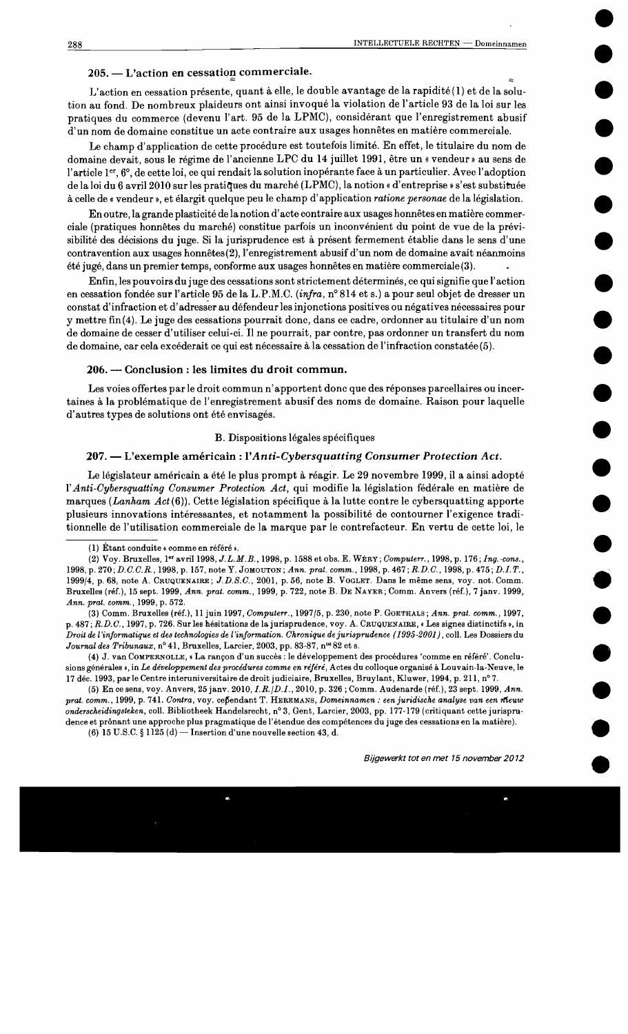# 205. - L'action en cessation commerciale.

L'action en cessation présente, quant à elle, le double avantage de la rapidité (1) et de la solution au fond. De nombreux plaideurs ont ainsi invoqué la violation de l'article 93 de la loi sur les pratiques du commerce (devenu l'art. 95 de la LPMC), considérant que l'enregistrement abusif d'un nom de domaine constitue un acte contraire aux usages honnêtes en matière commerciale.

Le champ d'application de cette procédure est toutefois limité. En effet, le titulaire du nom de domaine devait, sous le régime de l'ancienne LPC du 14 juillet 1991, être un « vendeur » au sens de l'article ler, 6°, de cette loi, ce qui rendait la solution inopérante face à un particulier. Avec l'adoption de la loi du 6 avril 2010 sur les pratiques du marché (LPMC), la notion « d'entreprise » s'est substituée à celle de « vendeur », et élargit quelque peu le champ d'application ratione personae de la législation.

En outre, la grande plasticité de la notion d'acte contraire aux usages honnêtes en matière commerciale (pratiques honnêtes du marché) constitue parfois un inconvénient du point de vue de la prévisibilité des décisions du juge. Si la jurisprudence est à présent fermement établie dans le sens d'une contravention aux usages honnêtes(2), l'enregistrement abusif d'un nom de domaine avait néanmoins été jugé, dans un premier temps, conforme aux usages honnêtes en matière commerciale (3).

Enfin, les pouvoirs du juge des cessations sont strictement déterminés, ce qui signifie que l'action en cessation fondée sur l'article 95 de la L.P.M.C. (infra, n° 814 et s.) a pour seul objet de dresser un constat d'infraction et d'adresser au défendeur les injonctions positives ou négatives nécessaires pour y mettre fin(4). Le juge des cessations pourrait donc, dans ce cadre, ordonner au titulaire d'un nom de domaine de cesser d'utiliser celui-ci. Il ne pourrait, par contre, pas ordonner un transfert du nom de domaine, car cela excéderait ce qui est nécessaire à la cessation de l'infraction constatée (5).

#### 206. — Conclusion : les limites du droit commun.

Les voies offertes par le droit commun n'apportent donc que des réponses parcellaires ou incertaines à la problématique de l'enregistrement abusif des noms de domaine. Raison pour laquelle d'autres types de solutions ont été envisagés.

#### B. Dispositions légales spécifiques

#### 207. — L'exemple américain : l'Anti-Cybersquatting Consumer Protection Act.

Le législateur américain a été le plus prompt à réagir. Le 29 novembre 1999, il a ainsi adopté l'Anti-Cybersquatting Consumer Protection Act, qui modifie la législation fédérale en matière de marques (Lanham  $Act(6)$ ). Cette législation spécifique à la lutte contre le cybersquatting apporte plusieurs innovations intéressantes, et notamment la possibilité de contourner l'exigence traditionnelle de l'utilisation commerciale de la marque par le contrefacteur. En vertu de cette loi, le

<sup>(1)</sup> Étant conduite « comme en référé ».

<sup>(2)</sup> Voy. Bruxelles, 1et avril 1998, J.L.M.B., 1998, p. 1588 et obs. E. WERY; Computerr., 1998, p. 176; Ing.-cons., 1998, p. 270; D.C.C.R., 1998, p. 157, note Y. JOMOUTON; Ann. prat. comm., 1998, p. 467; R.D.C., 1998, p. 475; D.I.T., 1999/4, p. 68, note A. CRUQUENAIRE; J.D.S.C., 2001, p. 56, note B. VOGLET. Dans le même sens, voy. not. Comm. Bruxelles (réf.), 15 sept. 1999, Ann. prat. comm., 1999, p. 722, note B. DE NAYER; Comm. Anvers (réf.), 7 janv. 1999, Ann. prat. comm., 1999, p. 572.

<sup>(3)</sup> Comm. Bruxelles (réf.), 11 juin 1997, Computerr., 1997/5, p. 230, note P. GOETHALS; Ann. prat. comm., 1997, p. 487; R.D.C., 1997, p. 726. Sur les hésitations de la jurisprudence, voy. A. CRUQUENAIRE, « Les signes distinctifs », in Droit de l'informatique et des technologies de l'information. Chronique de jurisprudence (1995-2001), coll. Les Dossiers du Journal des Tribunaux, n° 41, Bruxelles, Larcier, 2003, pp. 83-87, n°82 et s.

<sup>(4)</sup> J. van COMPERNOLLE, « La rançon d'un succès : le développement des procédures 'comme en référé'. Conclusions générales », in Le développement des procédures comme en référé, Actes du colloque organisé à Louvain-la-Neuve, le 17 déc. 1993, par le Centre interuniversitaire de droit judiciaire, Bruxelles, Bruylant, Kluwer, 1994, p. 211, nº 7.

<sup>(5)</sup> En ce sens, voy. Anvers, 25 janv. 2010, *I. R. (D. I.*, 2010, p. 326; Comm. Audenarde (réf.), 23 sept. 1999, Ann. prat. comm., 1999, p. 741. Contra, voy. cependant T. HEREMANS, Domeinnamen : een juridische analyse van een meuw onderscheidingsteken, coll. Bibliotheek Handelsrecht, n° 3, Gent, Larcier, 2003, pp. 177-179 (critiquant cette jurisprudence et prônant une approche plus pragmatique de l'étendue des compétences du juge des cessations en la matière).

<sup>(6) 15</sup> U.S.C. § 1125 (d) — Insertion d'une nouvelle section 43, d.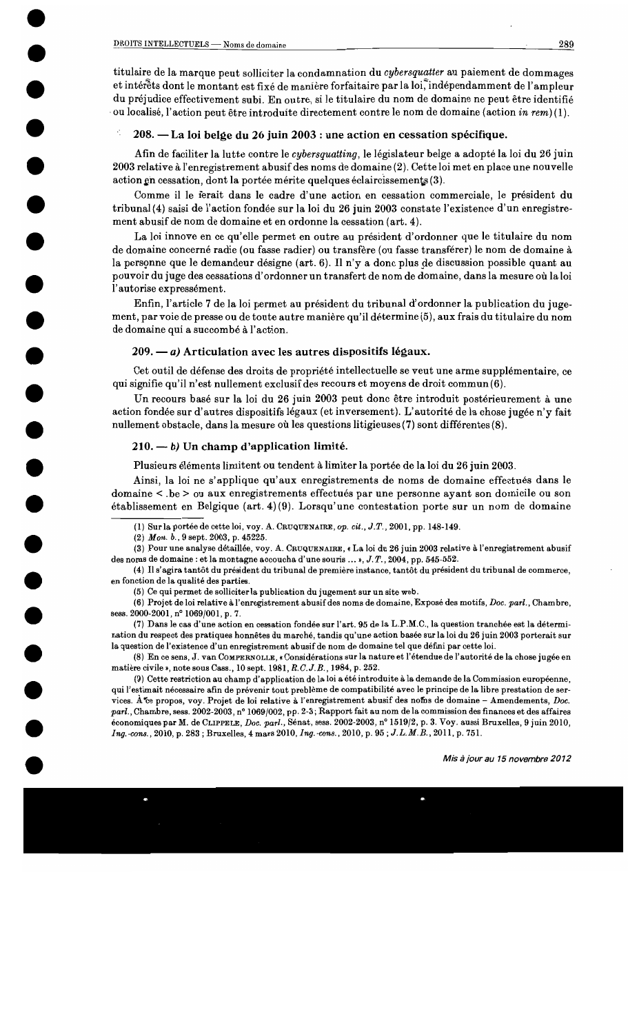titulaire de la marque peut solliciter la condamnation du cybersquatter au paiement de dommages et intérêts dont le montant est fixé de manière forfaitaire par la loi, indépendamment de l'ampleur du préjudice effectivement subi. En outre, si le titulaire du nom de domaine ne peut être identifié ou localisé, l'action peut être introduite directement contre le nom de domaine (action in rem)(1).

## 208. — La loi belge du 26 juin 2003 : une action en cessation spécifique.

Afin de faciliter la lutte contre le *cybersquatting*, le législateur belge a adopté la loi du 26 juin 2003 relative à l'enregistrement abusif des noms de domaine (2). Cette loi met en place une nouvelle action en cessation, dont la portée mérite quelques éclaircissements (3).

Comme il le ferait dans le cadre d'une action en cessation commerciale, le président du tribunal (4) saisi de l'action fondée sur la loi du 26 juin 2003 constate l'existence d'un enregistrement abusif de nom de domaine et en ordonne la cessation (art. 4).

La loi innove en ce qu'elle permet en outre au président d'ordonner que le titulaire du nom de domaine concerné radie (ou fasse radier) ou transfère (ou fasse transférer) le nom de domaine à la personne que le demandeur désigne (art. 6). Il n'y a donc plus de discussion possible quant au pouvoir du juge des cessations d'ordonner un transfert de nom de domaine, dans la mesure où la loi l'autorise expressément.

Enfin, l'article 7 de la loi permet au président du tribunal d'ordonner la publication du jugement, par voie de presse ou de toute autre manière qu'il détermine (5), aux frais du titulaire du nom de domaine qui a succombé à l'action.

## $209. - a$ ) Articulation avec les autres dispositifs légaux.

Cet outil de défense des droits de propriété intellectuelle se veut une arme supplémentaire, ce qui signifie qu'il n'est nullement exclusif des recours et moyens de droit commun(6).

Un recours basé sur la loi du 26 juin 2003 peut donc être introduit postérieurement à une action fondée sur d'autres dispositifs légaux (et inversement). L'autorité de la chose jugée n'y fait nullement obstacle, dans la mesure où les questions litigieuses (7) sont différentes (8).

## $210. - b$ ) Un champ d'application limité.

Plusieurs éléments limitent ou tendent à limiter la portée de la loi du 26 juin 2003.

Ainsi, la loi ne s'applique qu'aux enregistrements de noms de domaine effectués dans le domaine < .be > ou aux enregistrements effectués par une personne ayant son domicile ou son établissement en Belgique (art. 4)(9). Lorsqu'une contestation porte sur un nom de domaine

(7) Dans le cas d'une action en cessation fondée sur l'art. 95 de la L.P.M.C., la question tranchée est la détermination du respect des pratiques honnêtes du marché, tandis qu'une action basée sur la loi du 26 juin 2003 porterait sur la question de l'existence d'un enregistrement abusif de nom de domaine tel que défini par cette loi.

(8) En ce sens, J. van COMPERNOLLE, « Considérations sur la nature et l'étendue de l'autorité de la chose jugée en matière civile », note sous Cass., 10 sept. 1981, R.C.J.B., 1984, p. 252.

(9) Cette restriction au champ d'application de la loi a été introduite à la demande de la Commission européenne, qui l'estimait nécessaire afin de prévenir tout problème de compatibilité avec le principe de la libre prestation de services. A ce propos, voy. Projet de loi relative à l'enregistrement abusif des noms de domaine - Amendements, Doc. parl., Chambre, sess. 2002-2003, nº 1069/002, pp. 2-3; Rapport fait au nom de la commission des finances et des affaires économiques par M. de CLIPPELE, Doc. parl., Sénat, sess. 2002-2003, nº 1519/2, p. 3. Voy. aussi Bruxelles, 9 juin 2010, Ing. cons., 2010, p. 283; Bruxelles, 4 mars 2010, Ing. cons., 2010, p. 95; J.L.M.B., 2011, p. 751.

<sup>(1)</sup> Sur la portée de cette loi, voy. A. CRUQUENAIRE, op. cit., J.T., 2001, pp. 148-149.

<sup>(2)</sup> Mon. b., 9 sept. 2003, p. 45225.

<sup>(3)</sup> Pour une analyse détaillée, voy. A. CRUQUENAIRE, « La loi du 26 juin 2003 relative à l'enregistrement abusif des noms de domaine : et la montagne accoucha d'une souris ... », J.T., 2004, pp. 545-552.

<sup>(4)</sup> Il s'agira tantôt du président du tribunal de première instance, tantôt du président du tribunal de commerce, en fonction de la qualité des parties.

<sup>(5)</sup> Ce qui permet de solliciter la publication du jugement sur un site web.

<sup>(6)</sup> Projet de loi relative à l'enregistrement abusif des noms de domaine, Exposé des motifs, Doc. parl., Chambre, sess. 2000-2001, nº 1069/001, p. 7.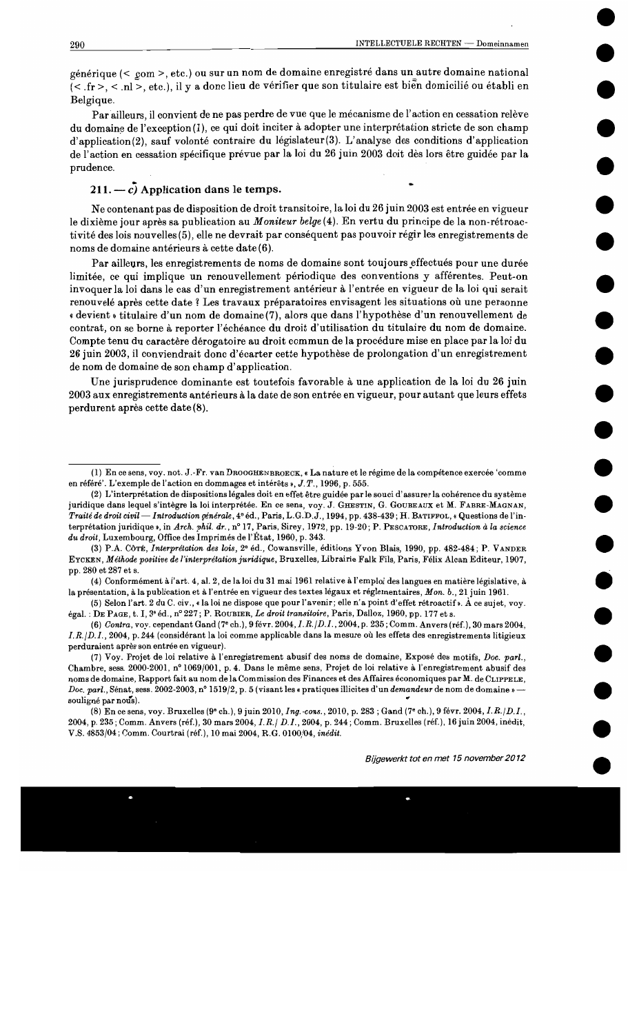générique (< com >, etc.) ou sur un nom de domaine enregistré dans un autre domaine national (< fr >, < nl >, etc.), il y a donc lieu de vérifier que son titulaire est bien domicilié ou établi en Belgique.

Par ailleurs, il convient de ne pas perdre de vue que le mécanisme de l'action en cessation relève du domaine de l'exception(1), ce qui doit inciter à adopter une interprétation stricte de son champ d'application(2), sauf volonté contraire du législateur(3). L'analyse des conditions d'application de l'action en cessation spécifique prévue par la loi du 26 juin 2003 doit dès lors être guidée par la prudence.

# 211.  $-c$ , Application dans le temps.

Ne contenant pas de disposition de droit transitoire, la loi du 26 juin 2003 est entrée en vigueur le dixième jour après sa publication au Moniteur belge (4). En vertu du principe de la non-rétroactivité des lois nouvelles (5), elle ne devrait par conséquent pas pouvoir régir les enregistrements de noms de domaine antérieurs à cette date (6).

Par ailleurs, les enregistrements de noms de domaine sont toujours effectués pour une durée limitée, ce qui implique un renouvellement périodique des conventions y afférentes. Peut-on invoquer la loi dans le cas d'un enregistrement antérieur à l'entrée en vigueur de la loi qui serait renouvelé après cette date ? Les travaux préparatoires envisagent les situations où une personne « devient » titulaire d'un nom de domaine (7), alors que dans l'hypothèse d'un renouvellement de contrat, on se borne à reporter l'échéance du droit d'utilisation du titulaire du nom de domaine. Compte tenu du caractère dérogatoire au droit commun de la procédure mise en place par la loi du 26 juin 2003, il conviendrait donc d'écarter cette hypothèse de prolongation d'un enregistrement de nom de domaine de son champ d'application.

Une jurisprudence dominante est toutefois favorable à une application de la loi du 26 juin 2003 aux enregistrements antérieurs à la date de son entrée en vigueur, pour autant que leurs effets perdurent après cette date (8).

<sup>(1)</sup> En ce sens, voy. not. J.-Fr. van DROOGHENBROECK, « La nature et le régime de la compétence exercée 'comme en référé'. L'exemple de l'action en dommages et intérêts »,  $J, T, 1996, p. 555$ .

<sup>(2)</sup> L'interprétation de dispositions légales doit en effet être guidée par le souci d'assurer la cohérence du système juridique dans lequel s'intègre la loi interprétée. En ce sens, voy. J. GHESTIN, G. GOUBEAUX et M. FABRE-MAGNAN, Traité de droit civil — Introduction générale, 4º éd., Paris, L.G.D.J., 1994, pp. 438-439; H. BATIFFOL, « Questions de l'interprétation juridique », in Arch. phil. dr., nº 17, Paris, Sirey, 1972, pp. 19-20; P. PESCATORE, Introduction à la science du droit, Luxembourg, Office des Imprimés de l'État, 1960, p. 343.

<sup>(3)</sup> P.A. COTÉ, Interprétation des lois, 2° éd., Cowansville, éditions Yvon Blais, 1990, pp. 482-484; P. VANDER EYCKEN, Méthode positive de l'interprétation juridique, Bruxelles, Librairie Falk Fils, Paris, Félix Alcan Editeur, 1907, pp. 280 et 287 et s.

<sup>(4)</sup> Conformément à l'art. 4, al. 2, de la loi du 31 mai 1961 relative à l'emploi des langues en matière législative, à la présentation, à la publication et à l'entrée en vigueur des textes légaux et réglementaires, Mon. b., 21 juin 1961.

<sup>(5)</sup> Selon l'art. 2 du C. civ., « la loi ne dispose que pour l'avenir; elle n'a point d'effet rétroactif ». À ce sujet, voy. égal. : DE PAGE, t. I, 3<sup>e</sup> éd., n° 227; P. ROUBIER, Le droit transitoire, Paris, Dalloz, 1960, pp. 177 et s.

<sup>(6)</sup> Contra, voy. cependant Gand (7° ch.), 9 févr. 2004, I.R. | D.I., 2004, p. 235; Comm. Anvers (réf.), 30 mars 2004, I.R. (D.I., 2004, p. 244 (considérant la loi comme applicable dans la mesure où les effets des enregistrements litigieux perduraient après son entrée en vigueur).

<sup>(7)</sup> Voy. Projet de loi relative à l'enregistrement abusif des noms de domaine, Exposé des motifs, Doc. parl., Chambre, sess. 2000-2001, nº 1069/001, p. 4. Dans le même sens, Projet de loi relative à l'enregistrement abusif des noms de domaine, Rapport fait au nom de la Commission des Finances et des Affaires économiques par M. de CLIPPELE, Doc. parl., Sénat, sess. 2002-2003, nº 1519/2, p. 5 (visant les « pratiques illicites d'un demandeur de nom de domaine » souligné par nous).

<sup>(8)</sup> En ce sens, voy. Bruxelles (9<sup>o</sup> ch.), 9 juin 2010, *Ing.* cons., 2010, p. 283; Gand (7<sup>o</sup> ch.), 9 févr. 2004, *I.R.*/*D.I.*, 2004, p. 235; Comm. Anvers (réf.), 30 mars 2004, I.R./ D.I., 2004, p. 244; Comm. Bruxelles (réf.), 16 juin 2004, inédit, V.S. 4853/04; Comm. Courtrai (réf.), 10 mai 2004, R.G. 0100/04, inédit.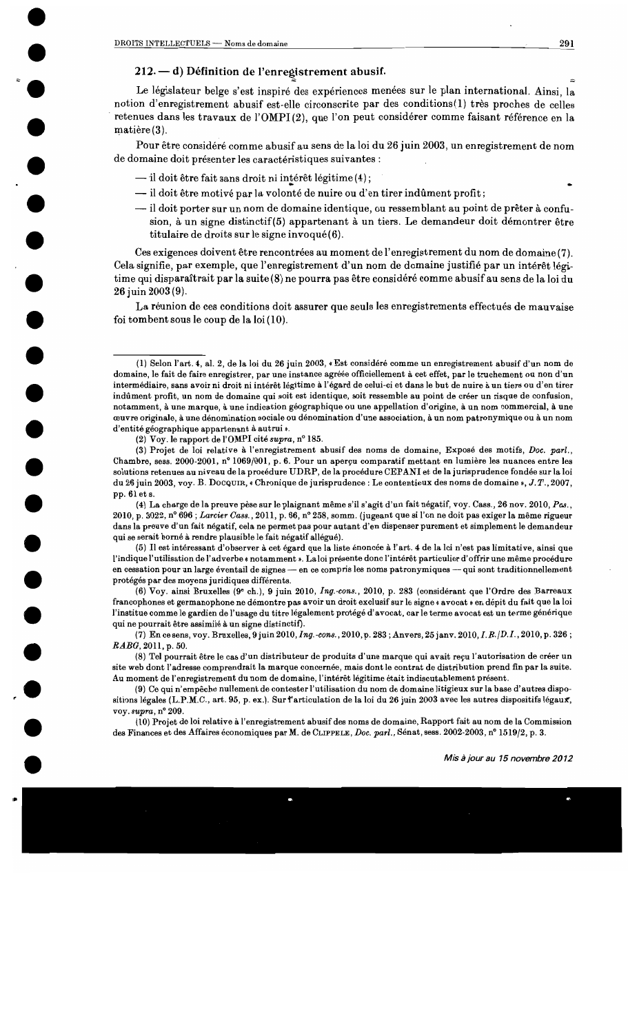## 212. - d) Définition de l'enregistrement abusif.

Le législateur belge s'est inspiré des expériences menées sur le plan international. Ainsi, la notion d'enregistrement abusif est-elle circonscrite par des conditions(1) très proches de celles retenues dans les travaux de l'OMPI(2), que l'on peut considérer comme faisant référence en la matière (3).

Pour être considéré comme abusif au sens de la loi du 26 juin 2003, un enregistrement de nom de domaine doit présenter les caractéristiques suivantes :

- il doit être fait sans droit ni intérêt légitime (4);
- il doit être motivé par la volonté de nuire ou d'en tirer indûment profit;
- -il doit porter sur un nom de domaine identique, ou ressemblant au point de prêter à confusion, à un signe distinctif(5) appartenant à un tiers. Le demandeur doit démontrer être titulaire de droits sur le signe invoqué(6).

Ces exigences doivent être rencontrées au moment de l'enregistrement du nom de domaine (7). Cela signifie, par exemple, que l'enregistrement d'un nom de domaine justifié par un intérêt légitime qui disparaîtrait par la suite (8) ne pourra pas être considéré comme abusif au sens de la loi du 26 juin 2003 (9).

La réunion de ces conditions doit assurer que seuls les enregistrements effectués de mauvaise foi tombent sous le coup de la  $\text{loi}(10)$ .

(2) Voy. le rapport de l'OMPI cité supra, n° 185.

(3) Projet de loi relative à l'enregistrement abusif des noms de domaine, Exposé des motifs, Doc. parl., Chambre, sess. 2000-2001, nº 1069/001, p. 6. Pour un aperçu comparatif mettant en lumière les nuances entre les solutions retenues au niveau de la procédure UDRP, de la procédure CEPANI et de la jurisprudence fondée sur la loi du 26 juin 2003, voy. B. Docquin, «Chronique de jurisprudence : Le contentieux des noms de domaine », J.T., 2007, pp. 61 et s.

(4) La charge de la preuve pèse sur le plaignant même s'il s'agit d'un fait négatif, voy. Cass., 26 nov. 2010, Pas., 2010, p. 3022, nº 696; Larcier Cass., 2011, p. 66, nº 258, somm. (jugeant que si l'on ne doit pas exiger la même rigueur dans la preuve d'un fait négatif, cela ne permet pas pour autant d'en dispenser purement et simplement le demandeur qui se serait borné à rendre plausible le fait négatif allégué).

(5) Il est intéressant d'observer à cet égard que la liste énoncée à l'art. 4 de la loi n'est pas limitative, ainsi que l'indique l'utilisation de l'adverbe « notamment ». La loi présente donc l'intérêt particulier d'offrir une même procédure en cessation pour un large éventail de signes - en ce compris les noms patronymiques - qui sont traditionnellement protégés par des moyens juridiques différents.

(6) Voy. ainsi Bruxelles (9<sup>e</sup> ch.), 9 juin 2010, Ing. cons., 2010, p. 283 (considérant que l'Ordre des Barreaux francophones et germanophone ne démontre pas avoir un droit exclusif sur le signe « avocat » en dépit du fait que la loi l'institue comme le gardien de l'usage du titre légalement protégé d'avocat, car le terme avocat est un terme générique qui ne pourrait être assimilé à un signe distinctif).

(7) En ce sens, voy. Bruxelles, 9 juin 2010, *Ing.-cons.*, 2010, p. 283; Anvers, 25 janv. 2010, *I.R.*/*D.I.*, 2010, p. 326; RABG, 2011, p. 50.

(8) Tel pourrait être le cas d'un distributeur de produits d'une marque qui avait reçu l'autorisation de créer un site web dont l'adresse comprendrait la marque concernée, mais dont le contrat de distribution prend fin par la suite. Au moment de l'enregistrement du nom de domaine, l'intérêt légitime était indiscutablement présent.

(9) Ce qui n'empêche nullement de contester l'utilisation du nom de domaine litigieux sur la base d'autres dispositions légales (L.P.M.C., art. 95, p. ex.). Sur l'articulation de la loi du 26 juin 2003 avec les autres dispositifs légaux, voy. supra, nº 209.

(10) Projet de loi relative à l'enregistrement abusif des noms de domaine, Rapport fait au nom de la Commission des Finances et des Affaires économiques par M. de CLIPPELE, Doc. parl., Sénat, sess. 2002-2003, n° 1519/2, p. 3.

291

<sup>(1)</sup> Selon l'art. 4, al. 2, de la loi du 26 juin 2003, « Est considéré comme un enregistrement abusif d'un nom de domaine, le fait de faire enregistrer, par une instance agréée officiellement à cet effet, par le truchement ou non d'un intermédiaire, sans avoir ni droit ni intérêt légitime à l'égard de celui-ci et dans le but de nuire à un tiers ou d'en tirer indûment profit, un nom de domaine qui soit est identique, soit ressemble au point de créer un risque de confusion, notamment, à une marque, à une indication géographique ou une appellation d'origine, à un nom commercial, à une œuvre originale, à une dénomination sociale ou dénomination d'une association, à un nom patronymique ou à un nom d'entité géographique appartenant à autrui ».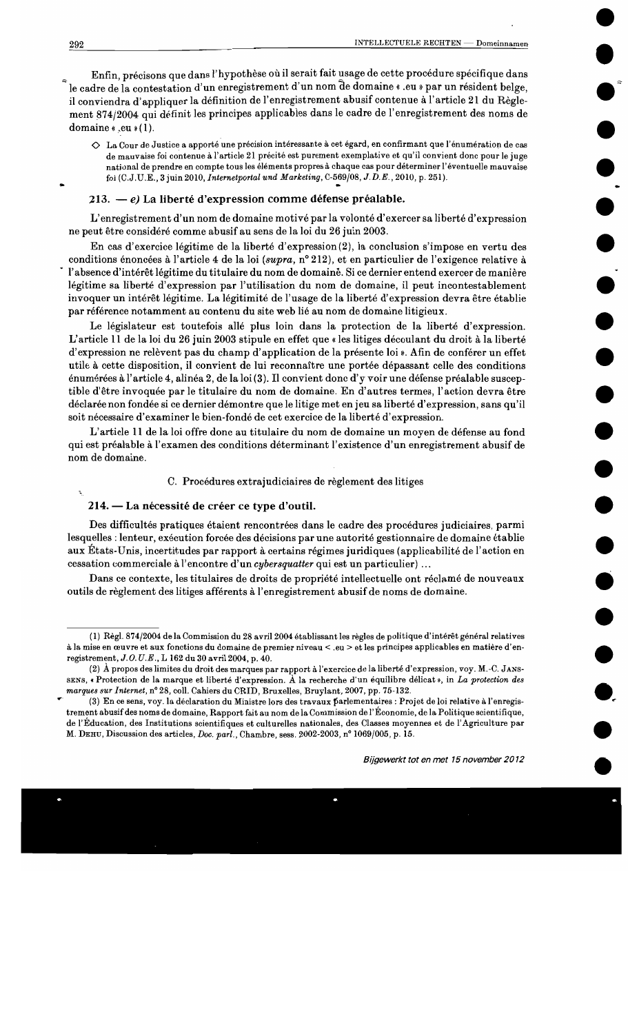Enfin, précisons que dans l'hypothèse où il serait fait usage de cette procédure spécifique dans le cadre de la contestation d'un enregistrement d'un nom de domaine « .eu » par un résident belge. il conviendra d'appliquer la définition de l'enregistrement abusif contenue à l'article 21 du Règlement 874/2004 qui définit les principes applicables dans le cadre de l'enregistrement des noms de domaine « .eu »(1).

◇ La Cour de Justice a apporté une précision intéressante à cet égard, en confirmant que l'énumération de cas de mauvaise foi contenue à l'article 21 précité est purement exemplative et qu'il convient donc pour le juge national de prendre en compte tous les éléments propres à chaque cas pour déterminer l'éventuelle mauvaise foi (C.J.U.E., 3 juin 2010, Internetportal und Marketing, C-569/08, J.D.E., 2010, p. 251).

## 213. — e) La liberté d'expression comme défense préalable.

L'enregistrement d'un nom de domaine motivé par la volonté d'exercer sa liberté d'expression ne peut être considéré comme abusif au sens de la loi du 26 juin 2003.

En cas d'exercice légitime de la liberté d'expression(2), la conclusion s'impose en vertu des conditions énoncées à l'article 4 de la loi (supra, n° 212), et en particulier de l'exigence relative à l'absence d'intérêt légitime du titulaire du nom de domaine. Si ce dernier entend exercer de manière légitime sa liberté d'expression par l'utilisation du nom de domaine, il peut incontestablement invoquer un intérêt légitime. La légitimité de l'usage de la liberté d'expression devra être établie par référence notamment au contenu du site web lié au nom de domaine litigieux.

Le législateur est toutefois allé plus loin dans la protection de la liberté d'expression. L'article 11 de la loi du 26 juin 2003 stipule en effet que « les litiges découlant du droit à la liberté d'expression ne relèvent pas du champ d'application de la présente loi ». Afin de conférer un effet utile à cette disposition, il convient de lui reconnaître une portée dépassant celle des conditions énumérées à l'article 4, alinéa 2, de la loi (3). Il convient donc d'y voir une défense préalable susceptible d'être invoquée par le titulaire du nom de domaine. En d'autres termes, l'action devra être déclarée non fondée si ce dernier démontre que le litige met en jeu sa liberté d'expression, sans qu'il soit nécessaire d'examiner le bien-fondé de cet exercice de la liberté d'expression.

L'article 11 de la loi offre donc au titulaire du nom de domaine un moyen de défense au fond qui est préalable à l'examen des conditions déterminant l'existence d'un enregistrement abusif de nom de domaine.

#### C. Procédures extrajudiciaires de règlement des litiges

#### 214. — La nécessité de créer ce type d'outil.

Des difficultés pratiques étaient rencontrées dans le cadre des procédures judiciaires, parmi lesquelles : lenteur, exécution forcée des décisions par une autorité gestionnaire de domaine établie aux États-Unis, incertitudes par rapport à certains régimes juridiques (applicabilité de l'action en cessation commerciale à l'encontre d'un cybersquatter qui est un particulier)...

Dans ce contexte, les titulaires de droits de propriété intellectuelle ont réclamé de nouveaux outils de règlement des litiges afférents à l'enregistrement abusif de noms de domaine.

<sup>(1)</sup> Règl. 874/2004 de la Commission du 28 avril 2004 établissant les règles de politique d'intérêt général relatives à la mise en œuvre et aux fonctions du domaine de premier niveau < .eu > et les principes applicables en matière d'enregistrement, J.O.U.E., L 162 du 30 avril 2004, p. 40.

<sup>(2)</sup> À propos des limites du droit des marques par rapport à l'exercice de la liberté d'expression, voy. M.-C. JANS-SENS, « Protection de la marque et liberté d'expression. À la recherche d'un équilibre délicat», in La protection des marques sur Internet, n° 28, coll. Cahiers du CRID, Bruxelles, Bruylant, 2007, pp. 75-132.

<sup>(3)</sup> En ce sens, voy. la déclaration du Ministre lors des travaux parlementaires : Projet de loi relative à l'enregistrement abusif des noms de domaine, Rapport fait au nom de la Commission de l'Économie, de la Politique scientifique, de l'Éducation, des Institutions scientifiques et culturelles nationales, des Classes moyennes et de l'Agriculture par M. DEHU, Discussion des articles, Doc. parl., Chambre, sess. 2002-2003, nº 1069/005, p. 15.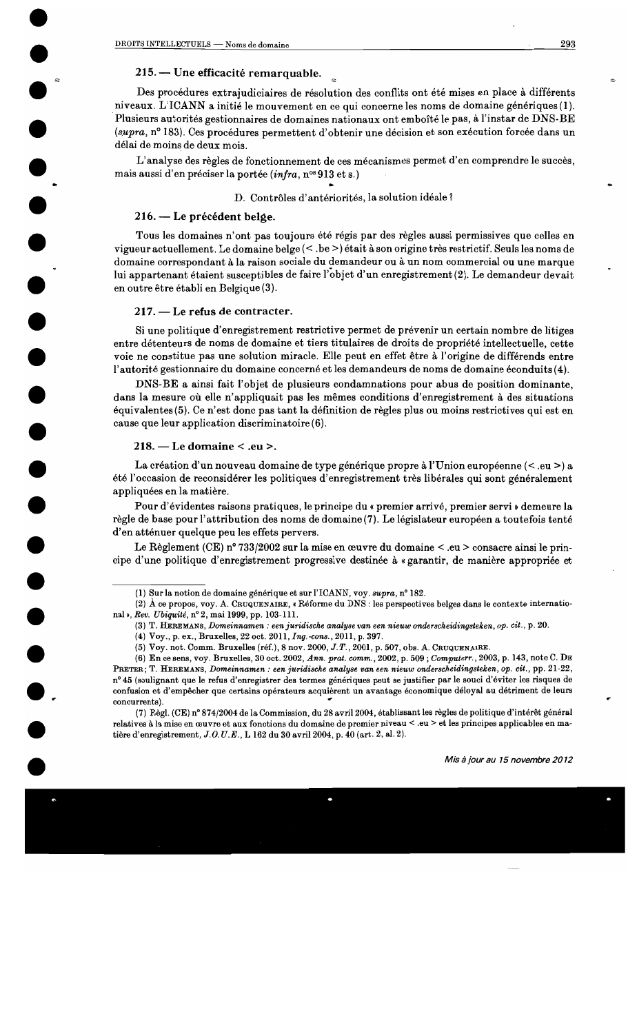## 215. — Une efficacité remarquable.

Des procédures extrajudiciaires de résolution des conflits ont été mises en place à différents niveaux. L'ICANN a initié le mouvement en ce qui concerne les noms de domaine génériques (1). Plusieurs autorités gestionnaires de domaines nationaux ont emboîté le pas, à l'instar de DNS-BE (supra, n° 183). Ces procédures permettent d'obtenir une décision et son exécution forcée dans un délai de moins de deux mois.

L'analyse des règles de fonctionnement de ces mécanismes permet d'en comprendre le succès, mais aussi d'en préciser la portée (infra, nº 913 et s.)

## D. Contrôles d'antériorités, la solution idéale ?

## 216. — Le précédent belge.

Tous les domaines n'ont pas toujours été régis par des règles aussi permissives que celles en vigueur actuellement. Le domaine belge  $(<$  be  $>$ ) était à son origine très restrictif. Seuls les noms de domaine correspondant à la raison sociale du demandeur ou à un nom commercial ou une marque lui appartenant étaient susceptibles de faire l'objet d'un enregistrement (2). Le demandeur devait en outre être établi en Belgique (3).

## 217. — Le refus de contracter.

Si une politique d'enregistrement restrictive permet de prévenir un certain nombre de litiges entre détenteurs de noms de domaine et tiers titulaires de droits de propriété intellectuelle, cette voie ne constitue pas une solution miracle. Elle peut en effet être à l'origine de différends entre l'autorité gestionnaire du domaine concerné et les demandeurs de noms de domaine éconduits (4).

DNS-BE a ainsi fait l'objet de plusieurs condamnations pour abus de position dominante. dans la mesure où elle n'appliquait pas les mêmes conditions d'enregistrement à des situations équivalentes (5). Ce n'est donc pas tant la définition de règles plus ou moins restrictives qui est en cause que leur application discriminatoire (6).

## $218. -$  Le domaine  $\le$  .eu  $\ge$ .

La création d'un nouveau domaine de type générique propre à l'Union européenne  $( $eu > a$$ été l'occasion de reconsidérer les politiques d'enregistrement très libérales qui sont généralement appliquées en la matière.

Pour d'évidentes raisons pratiques, le principe du « premier arrivé, premier servi » demeure la règle de base pour l'attribution des noms de domaine (7). Le législateur européen a toutefois tenté d'en atténuer quelque peu les effets pervers.

Le Règlement (CE) n° 733/2002 sur la mise en œuvre du domaine < .eu > consacre ainsi le principe d'une politique d'enregistrement progressive destinée à « garantir, de manière appropriée et

(7) Règl. (CE) nº 874/2004 de la Commission, du 28 avril 2004, établissant les règles de politique d'intérêt général relatives à la mise en œuvre et aux fonctions du domaine de premier niveau < .eu > et les principes applicables en matière d'enregistrement,  $J.O.U.E., L$  162 du 30 avril 2004, p. 40 (art. 2, al. 2).

<sup>(1)</sup> Sur la notion de domaine générique et sur l'ICANN, voy. supra, n° 182.

<sup>(2)</sup>  $\AA$  ce propos, voy. A. CRUQUENAIRE, « Réforme du DNS : les perspectives belges dans le contexte international », Rev. Ubiquité, nº 2, mai 1999, pp. 103-111.

<sup>(3)</sup> T. HEREMANS, Domeinnamen : een juridische analyse van een nieuw onderscheidingsteken, op. cit., p. 20.

<sup>(4)</sup> Voy., p. ex., Bruxelles, 22 oct. 2011, Ing.-cons., 2011, p. 397.

<sup>(5)</sup> Voy. not. Comm. Bruxelles (réf.), 8 nov. 2000, J.T., 2001, p. 507, obs. A. CRUQUENAIRE.

<sup>(6)</sup> En ce sens, voy. Bruxelles, 30 oct. 2002, Ann. prat. comm., 2002, p. 509; Computerr., 2003, p. 143, note C. DE PRETER; T. HEREMANS, Domeinnamen : een juridische analyse van een nieuw onderscheidingsteken, op. cit., pp. 21-22, nº 45 (soulignant que le refus d'enregistrer des termes génériques peut se justifier par le souci d'éviter les risques de confusion et d'empêcher que certains opérateurs acquièrent un avantage économique déloyal au détriment de leurs concurrents).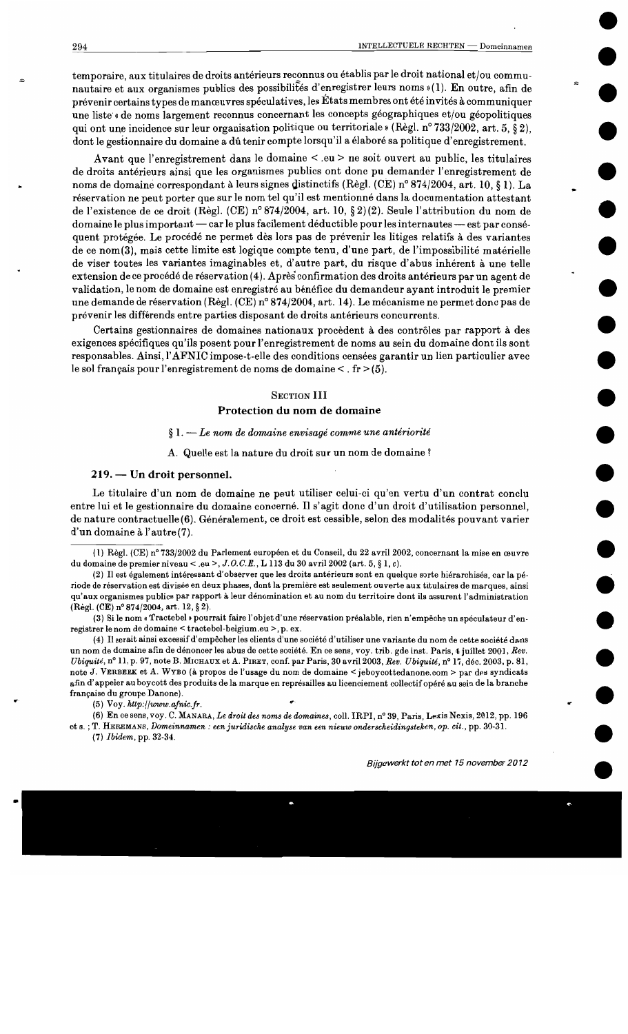temporaire, aux titulaires de droits antérieurs reconnus ou établis par le droit national et/ou communautaire et aux organismes publics des possibilités d'enregistrer leurs noms »(1). En outre, afin de prévenir certains types de manœuvres spéculatives, les États membres ont été invités à communiquer une liste « de noms largement reconnus concernant les concepts géographiques et/ou géopolitiques qui ont une incidence sur leur organisation politique ou territoriale » (Règl. n° 733/2002, art. 5, § 2). dont le gestionnaire du domaine a dû tenir compte lorsqu'il a élaboré sa politique d'enregistrement.

Avant que l'enregistrement dans le domaine < eu > ne soit ouvert au public, les titulaires de droits antérieurs ainsi que les organismes publics ont donc pu demander l'enregistrement de noms de domaine correspondant à leurs signes distinctifs (Règl. (CE) n° 874/2004, art. 10, 81). La réservation ne peut porter que sur le nom tel qu'il est mentionné dans la documentation attestant de l'existence de ce droit (Règl. (CE) nº 874/2004, art. 10, § 2)(2). Seule l'attribution du nom de domaine le plus important — car le plus facilement déductible pour les internautes — est par conséquent protégée. Le procédé ne permet dès lors pas de prévenir les litiges relatifs à des variantes de ce nom (3), mais cette limite est logique compte tenu, d'une part, de l'impossibilité matérielle de viser toutes les variantes imaginables et, d'autre part, du risque d'abus inhérent à une telle extension de ce procédé de réservation (4). Après confirmation des droits antérieurs par un agent de validation, le nom de domaine est enregistré au bénéfice du demandeur ayant introduit le premier une demande de réservation (Règl. (CE) n° 874/2004, art. 14). Le mécanisme ne permet donc pas de prévenir les différends entre parties disposant de droits antérieurs concurrents.

Certains gestionnaires de domaines nationaux procèdent à des contrôles par rapport à des exigences spécifiques qu'ils posent pour l'enregistrement de noms au sein du domaine dont ils sont responsables. Ainsi, l'AFNIC impose-t-elle des conditions censées garantir un lien particulier avec le sol français pour l'enregistrement de noms de domaine  $\leq$ . fr  $\geq$  (5).

#### **SECTION III**

#### Protection du nom de domaine

#### $\S 1.$  - Le nom de domaine envisagé comme une antériorité

A. Quelle est la nature du droit sur un nom de domaine?

#### 219. — Un droit personnel.

Le titulaire d'un nom de domaine ne peut utiliser celui-ci qu'en vertu d'un contrat conclu entre lui et le gestionnaire du domaine concerné. Il s'agit donc d'un droit d'utilisation personnel. de nature contractuelle (6). Généralement, ce droit est cessible, selon des modalités pouvant varier d'un domaine à l'autre (7).

 $(5)$  Voy. http://www.afnic.fr.

(6) En ce sens, voy. C. MANARA, Le droit des noms de domaines, coll. IRPI, n° 39, Paris, Lexis Nexis, 2012, pp. 196 et s. ; T. HEREMANS, Domeinnamen : een juridische analyse van een nieuw onderscheidingsteken, op. cit., pp. 30-31.

 $(7)$  *Ibidem*, pp. 32-34.

<sup>(1)</sup> Règl. (CE) n° 733/2002 du Parlement européen et du Conseil, du 22 avril 2002, concernant la mise en œuvre du domaine de premier niveau < .eu >, J.O.C.E., L 113 du 30 avril 2002 (art. 5, § 1, c).

<sup>(2)</sup> Il est également intéressant d'observer que les droits antérieurs sont en quelque sorte hiérarchisés, car la période de réservation est divisée en deux phases, dont la première est seulement ouverte aux titulaires de marques, ainsi qu'aux organismes publics par rapport à leur dénomination et au nom du territoire dont ils assurent l'administration (Règl. (CE) n° 874/2004, art. 12, § 2).

<sup>(3)</sup> Si le nom « Tractebel » pourrait faire l'objet d'une réservation préalable, rien n'empêche un spéculateur d'enregistrer le nom de domaine < tractebel-belgium.eu >. p. ex.

<sup>(4)</sup> Il serait ainsi excessif d'empêcher les clients d'une société d'utiliser une variante du nom de cette société dans un nom de domaine afin de dénoncer les abus de cette société. En ce sens, voy. trib. gde inst. Paris, 4 juillet 2001, Rev. Ubiquité, nº 11, p. 97, note B. MICHAUX et A. PIRET, conf. par Paris, 30 avril 2003, Rev. Ubiquité, nº 17, déc. 2003, p. 81, note J. VERBEEK et A. WYBO (à propos de l'usage du nom de domaine < jeboycottedanone.com > par des syndicats afin d'appeler au boycott des produits de la marque en représailles au licenciement collectif opéré au sein de la branche française du groupe Danone).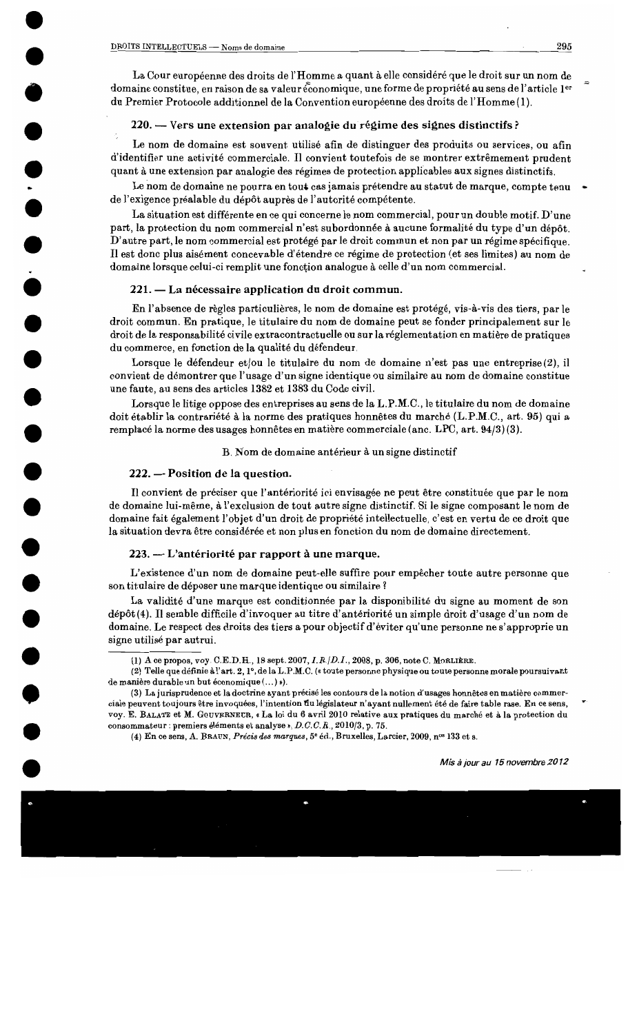La Cour européenne des droits de l'Homme a quant à elle considéré que le droit sur un nom de domaine constitue, en raison de sa valeur économique, une forme de propriété au sens de l'article 1er du Premier Protocole additionnel de la Convention européenne des droits de l'Homme (1).

## 220. — Vers une extension par analogie du régime des signes distinctifs ?

Le nom de domaine est souvent utilisé afin de distinguer des produits ou services, ou afin d'identifier une activité commerciale. Il convient toutefois de se montrer extrêmement prudent quant à une extension par analogie des régimes de protection applicables aux signes distinctifs.

Le nom de domaine ne pourra en tout cas jamais prétendre au statut de marque, compte tenu de l'exigence préalable du dépôt auprès de l'autorité compétente.

La situation est différente en ce qui concerne le nom commercial, pour un double motif. D'une part, la protection du nom commercial n'est subordonnée à aucune formalité du type d'un dépôt. D'autre part, le nom commercial est protégé par le droit commun et non par un régime spécifique. Il est donc plus aisément concevable d'étendre ce régime de protection (et ses limites) au nom de domaine lorsque celui-ci remplit une fonction analogue à celle d'un nom commercial.

## 221. — La nécessaire application du droit commun.

En l'absence de règles particulières, le nom de domaine est protégé, vis-à-vis des tiers, par le droit commun. En pratique, le titulaire du nom de domaine peut se fonder principalement sur le droit de la responsabilité civile extracontractuelle ou sur la réglementation en matière de pratiques du commerce, en fonction de la qualité du défendeur.

Lorsque le défendeur et/ou le titulaire du nom de domaine n'est pas une entreprise(2), il convient de démontrer que l'usage d'un signe identique ou similaire au nom de domaine constitue une faute, au sens des articles 1382 et 1383 du Code civil.

Lorsque le litige oppose des entreprises au sens de la L.P.M.C., le titulaire du nom de domaine doit établir la contrariété à la norme des pratiques honnêtes du marché (L.P.M.C., art. 95) qui a remplacé la norme des usages honnêtes en matière commerciale (anc. LPC, art. 94/3)(3).

## B. Nom de domaine antérieur à un signe distinctif

## 222. - Position de la question.

Il convient de préciser que l'antériorité ici envisagée ne peut être constituée que par le nom de domaine lui-même, à l'exclusion de tout autre signe distinctif. Si le signe composant le nom de domaine fait également l'objet d'un droit de propriété intellectuelle, c'est en vertu de ce droit que la situation devra être considérée et non plus en fonction du nom de domaine directement.

## 223. — L'antériorité par rapport à une marque.

L'existence d'un nom de domaine peut-elle suffire pour empêcher toute autre personne que son titulaire de déposer une marque identique ou similaire?

La validité d'une marque est conditionnée par la disponibilité du signe au moment de son dépôt(4). Il semble difficile d'invoquer au titre d'antériorité un simple droit d'usage d'un nom de domaine. Le respect des droits des tiers a pour objectif d'éviter qu'une personne ne s'approprie un signe utilisé par autrui.

295

<sup>(1)</sup> A ce propos, voy. C.E.D.H., 18 sept. 2007, *I.R.*/D.I., 2008, p. 306, note C. MORLIÈRE.

<sup>(2)</sup> Telle que définie à l'art. 2, 1°, de la L.P.M.C. (« toute personne physique ou toute personne morale poursuivant de manière durable un but économique (...) »).

<sup>(3)</sup> La jurisprudence et la doctrine ayant précisé les contours de la notion d'usages honnêtes en matière commerciale peuvent toujours être invoquées, l'intention du législateur n'ayant nullement été de faire table rase. En ce sens, voy. E. BALATE et M. GOUVERNEUR, « La loi du 6 avril 2010 relative aux pratiques du marché et à la protection du consommateur : premiers éléments et analyse », D.C.C.R., 2010/3, p. 75.

<sup>(4)</sup> En ce sens, A. BRAUN, Précis des marques, 5<sup>e</sup> éd., Bruxelles, Larcier, 2009, n<sup>os</sup> 133 et s.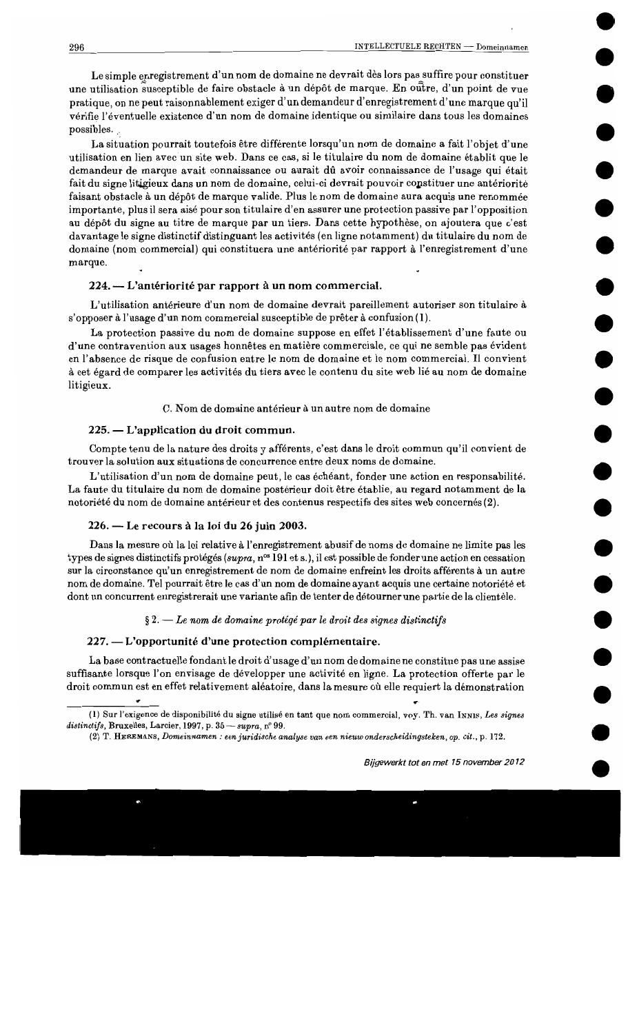Le simple enregistrement d'un nom de domaine ne devrait dès lors pas suffire pour constituer une utilisation susceptible de faire obstacle à un dépôt de marque. En outre, d'un point de vue pratique, on ne peut raisonnablement exiger d'un demandeur d'enregistrement d'une marque qu'il vérifie l'éventuelle existence d'un nom de domaine identique ou similaire dans tous les domaines possibles.

La situation pourrait toutefois être différente lorsqu'un nom de domaine a fait l'objet d'une utilisation en lien avec un site web. Dans ce cas, si le titulaire du nom de domaine établit que le demandeur de marque avait connaissance ou aurait dû avoir connaissance de l'usage qui était fait du signe litigieux dans un nom de domaine, celui-ci devrait pouvoir constituer une antériorité faisant obstacle à un dépôt de marque valide. Plus le nom de domaine aura acquis une renommée importante, plus il sera aisé pour son titulaire d'en assurer une protection passive par l'opposition au dépôt du signe au titre de marque par un tiers. Dans cette hypothèse, on ajoutera que c'est davantage le signe distinctif distinguant les activités (en ligne notamment) du titulaire du nom de domaine (nom commercial) qui constituera une antériorité par rapport à l'enregistrement d'une marque.

#### 224. — L'antériorité par rapport à un nom commercial.

L'utilisation antérieure d'un nom de domaine devrait pareillement autoriser son titulaire à s'opposer à l'usage d'un nom commercial susceptible de prêter à confusion (1).

La protection passive du nom de domaine suppose en effet l'établissement d'une faute ou d'une contravention aux usages honnêtes en matière commerciale, ce qui ne semble pas évident en l'absence de risque de confusion entre le nom de domaine et le nom commercial. Il convient à cet égard de comparer les activités du tiers avec le contenu du site web lié au nom de domaine litigieux.

#### C. Nom de domaine antérieur à un autre nom de domaine

#### 225. — L'application du droit commun.

Compte tenu de la nature des droits y afférents, c'est dans le droit commun qu'il convient de trouver la solution aux situations de concurrence entre deux noms de domaine.

L'utilisation d'un nom de domaine peut, le cas échéant, fonder une action en responsabilité. La faute du titulaire du nom de domaine postérieur doit être établie, au regard notamment de la notoriété du nom de domaine antérieur et des contenus respectifs des sites web concernés (2).

#### 226. — Le recours à la loi du 26 juin 2003.

Dans la mesure où la loi relative à l'enregistrement abusif de noms de domaine ne limite pas les types de signes distinctifs protégés (supra, n<sup>os</sup> 191 et s.), il est possible de fonder une action en cessation sur la circonstance qu'un enregistrement de nom de domaine enfreint les droits afférents à un autre nom de domaine. Tel pourrait être le cas d'un nom de domaine ayant acquis une certaine notoriété et dont un concurrent enregistrerait une variante afin de tenter de détourner une partie de la clientèle.

#### $\S 2.$  — Le nom de domaine protégé par le droit des signes distinctifs

#### 227. — L'opportunité d'une protection complémentaire.

La base contractuelle fondant le droit d'usage d'un nom de domaine ne constitue pas une assise suffisante lorsque l'on envisage de développer une activité en ligne. La protection offerte par le droit commun est en effet relativement aléatoire, dans la mesure où elle requiert la démonstration

<sup>(1)</sup> Sur l'exigence de disponibilité du signe utilisé en tant que nom commercial, voy. Th. van INNIS, Les signes distinctifs, Bruxelles, Larcier, 1997, p. 35 - supra, nº 99.

<sup>(2)</sup> T. HEREMANS, Domeinnamen : een juridische analyse van een nieuw onderscheidingsteken, op. cit., p. 172.